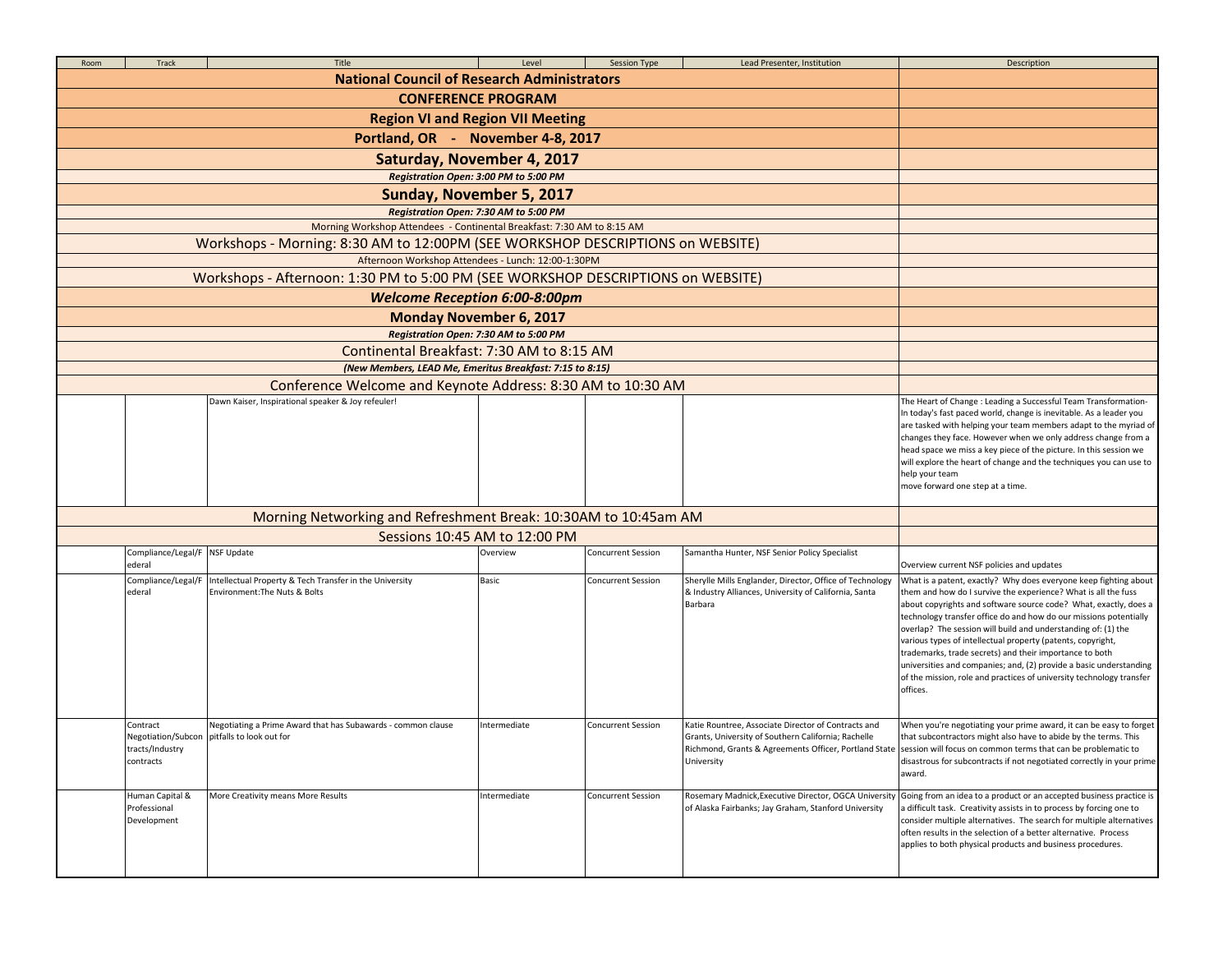| Room | Track                                                                          | Title<br><b>National Council of Research Administrators</b>                                                       | Level                                 | <b>Session Type</b>       | Lead Presenter, Institution                                                                                                  | Description                                                                                                                                                                                                                                                                                                                                                                                                                                                                                                                                                                                                                                                                   |
|------|--------------------------------------------------------------------------------|-------------------------------------------------------------------------------------------------------------------|---------------------------------------|---------------------------|------------------------------------------------------------------------------------------------------------------------------|-------------------------------------------------------------------------------------------------------------------------------------------------------------------------------------------------------------------------------------------------------------------------------------------------------------------------------------------------------------------------------------------------------------------------------------------------------------------------------------------------------------------------------------------------------------------------------------------------------------------------------------------------------------------------------|
|      |                                                                                |                                                                                                                   |                                       |                           |                                                                                                                              |                                                                                                                                                                                                                                                                                                                                                                                                                                                                                                                                                                                                                                                                               |
|      |                                                                                |                                                                                                                   |                                       |                           |                                                                                                                              |                                                                                                                                                                                                                                                                                                                                                                                                                                                                                                                                                                                                                                                                               |
|      |                                                                                |                                                                                                                   |                                       |                           |                                                                                                                              |                                                                                                                                                                                                                                                                                                                                                                                                                                                                                                                                                                                                                                                                               |
|      |                                                                                |                                                                                                                   |                                       |                           |                                                                                                                              |                                                                                                                                                                                                                                                                                                                                                                                                                                                                                                                                                                                                                                                                               |
|      |                                                                                |                                                                                                                   |                                       |                           |                                                                                                                              |                                                                                                                                                                                                                                                                                                                                                                                                                                                                                                                                                                                                                                                                               |
|      |                                                                                |                                                                                                                   |                                       |                           |                                                                                                                              |                                                                                                                                                                                                                                                                                                                                                                                                                                                                                                                                                                                                                                                                               |
|      |                                                                                |                                                                                                                   |                                       |                           |                                                                                                                              |                                                                                                                                                                                                                                                                                                                                                                                                                                                                                                                                                                                                                                                                               |
|      |                                                                                |                                                                                                                   |                                       |                           |                                                                                                                              |                                                                                                                                                                                                                                                                                                                                                                                                                                                                                                                                                                                                                                                                               |
|      | Workshops - Morning: 8:30 AM to 12:00PM (SEE WORKSHOP DESCRIPTIONS on WEBSITE) |                                                                                                                   |                                       |                           |                                                                                                                              |                                                                                                                                                                                                                                                                                                                                                                                                                                                                                                                                                                                                                                                                               |
|      |                                                                                |                                                                                                                   |                                       |                           |                                                                                                                              |                                                                                                                                                                                                                                                                                                                                                                                                                                                                                                                                                                                                                                                                               |
|      |                                                                                | Workshops - Afternoon: 1:30 PM to 5:00 PM (SEE WORKSHOP DESCRIPTIONS on WEBSITE)                                  |                                       |                           |                                                                                                                              |                                                                                                                                                                                                                                                                                                                                                                                                                                                                                                                                                                                                                                                                               |
|      |                                                                                |                                                                                                                   | <b>Welcome Reception 6:00-8:00pm</b>  |                           |                                                                                                                              |                                                                                                                                                                                                                                                                                                                                                                                                                                                                                                                                                                                                                                                                               |
|      |                                                                                |                                                                                                                   | <b>Monday November 6, 2017</b>        |                           |                                                                                                                              |                                                                                                                                                                                                                                                                                                                                                                                                                                                                                                                                                                                                                                                                               |
|      |                                                                                |                                                                                                                   | Registration Open: 7:30 AM to 5:00 PM |                           |                                                                                                                              |                                                                                                                                                                                                                                                                                                                                                                                                                                                                                                                                                                                                                                                                               |
|      |                                                                                | Continental Breakfast: 7:30 AM to 8:15 AM                                                                         |                                       |                           |                                                                                                                              |                                                                                                                                                                                                                                                                                                                                                                                                                                                                                                                                                                                                                                                                               |
|      |                                                                                | (New Members, LEAD Me, Emeritus Breakfast: 7:15 to 8:15)                                                          |                                       |                           |                                                                                                                              |                                                                                                                                                                                                                                                                                                                                                                                                                                                                                                                                                                                                                                                                               |
|      |                                                                                | Conference Welcome and Keynote Address: 8:30 AM to 10:30 AM<br>Dawn Kaiser, Inspirational speaker & Joy refeuler! |                                       |                           |                                                                                                                              | The Heart of Change : Leading a Successful Team Transformation-                                                                                                                                                                                                                                                                                                                                                                                                                                                                                                                                                                                                               |
|      |                                                                                |                                                                                                                   |                                       |                           |                                                                                                                              | In today's fast paced world, change is inevitable. As a leader you<br>are tasked with helping your team members adapt to the myriad of<br>changes they face. However when we only address change from a<br>head space we miss a key piece of the picture. In this session we<br>will explore the heart of change and the techniques you can use to<br>help your team<br>move forward one step at a time.                                                                                                                                                                                                                                                                      |
|      |                                                                                | Morning Networking and Refreshment Break: 10:30AM to 10:45am AM                                                   |                                       |                           |                                                                                                                              |                                                                                                                                                                                                                                                                                                                                                                                                                                                                                                                                                                                                                                                                               |
|      |                                                                                |                                                                                                                   | Sessions 10:45 AM to 12:00 PM         |                           |                                                                                                                              |                                                                                                                                                                                                                                                                                                                                                                                                                                                                                                                                                                                                                                                                               |
|      | Compliance/Legal/F                                                             | NSF Update                                                                                                        | Overview                              | Concurrent Session        | Samantha Hunter, NSF Senior Policy Specialist                                                                                |                                                                                                                                                                                                                                                                                                                                                                                                                                                                                                                                                                                                                                                                               |
|      | ederal<br>Compliance/Legal/F<br>ederal                                         | Intellectual Property & Tech Transfer in the University<br>Environment: The Nuts & Bolts                          | Basic                                 | <b>Concurrent Session</b> | Sherylle Mills Englander, Director, Office of Technology<br>& Industry Alliances, University of California, Santa<br>Barbara | Overview current NSF policies and updates<br>What is a patent, exactly? Why does everyone keep fighting about<br>them and how do I survive the experience? What is all the fuss<br>about copyrights and software source code? What, exactly, does a<br>technology transfer office do and how do our missions potentially<br>overlap? The session will build and understanding of: (1) the<br>various types of intellectual property (patents, copyright,<br>trademarks, trade secrets) and their importance to both<br>universities and companies; and, (2) provide a basic understanding<br>of the mission, role and practices of university technology transfer<br>offices. |
|      | Contract<br>tracts/Industry<br>contracts                                       | Negotiating a Prime Award that has Subawards - common clause<br>Negotiation/Subcon pitfalls to look out for       | Intermediate                          | <b>Concurrent Session</b> | Katie Rountree, Associate Director of Contracts and<br>Grants, University of Southern California; Rachelle<br>University     | When you're negotiating your prime award, it can be easy to forget<br>that subcontractors might also have to abide by the terms. This<br>Richmond, Grants & Agreements Officer, Portland State session will focus on common terms that can be problematic to<br>disastrous for subcontracts if not negotiated correctly in your prime<br>award.                                                                                                                                                                                                                                                                                                                               |
|      | Human Capital &<br>Professional<br>Development                                 | More Creativity means More Results                                                                                | Intermediate                          | Concurrent Session        | Rosemary Madnick, Executive Director, OGCA University<br>of Alaska Fairbanks; Jay Graham, Stanford University                | Going from an idea to a product or an accepted business practice is<br>a difficult task. Creativity assists in to process by forcing one to<br>consider multiple alternatives. The search for multiple alternatives<br>often results in the selection of a better alternative. Process<br>applies to both physical products and business procedures.                                                                                                                                                                                                                                                                                                                          |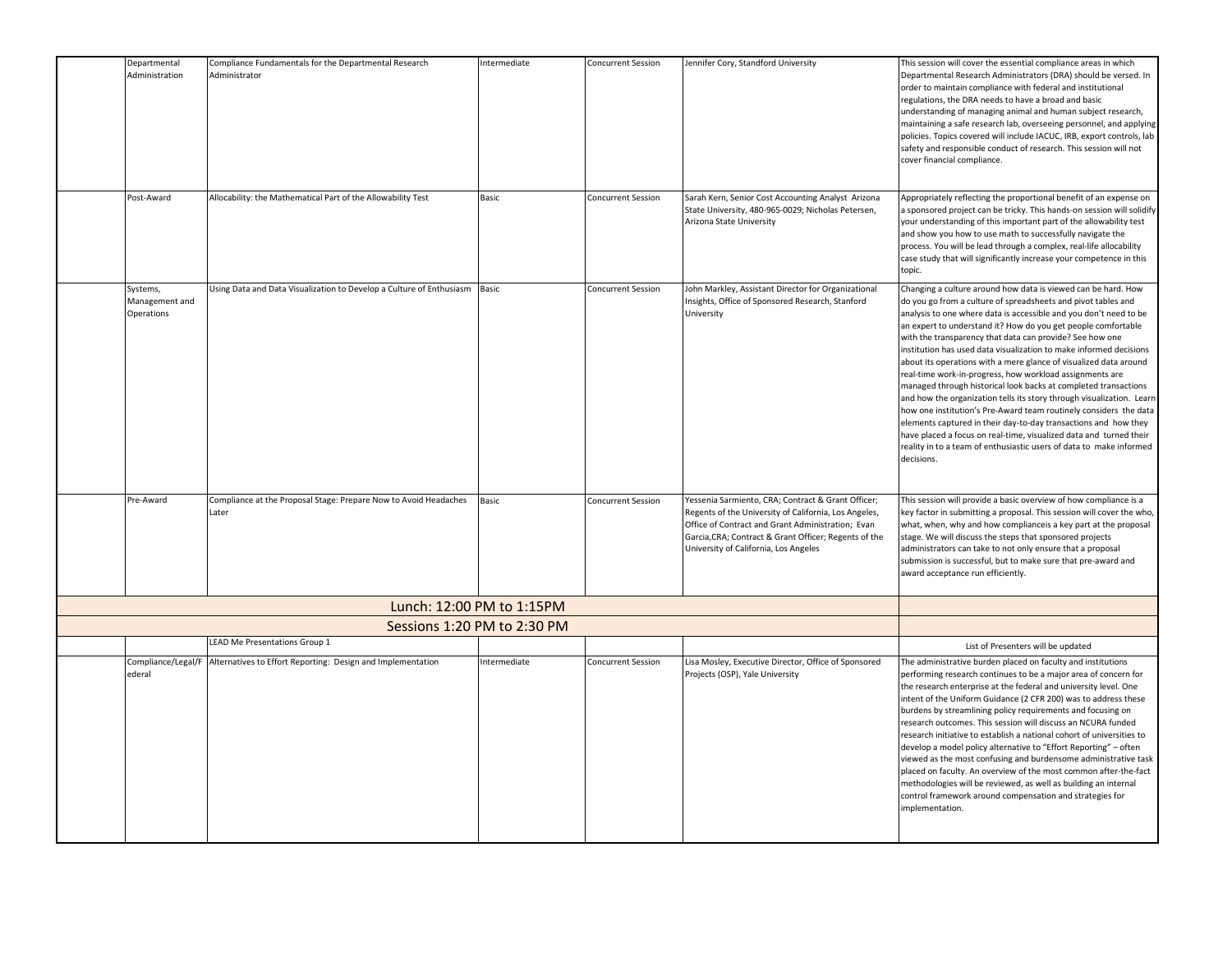| Departmental<br>Administration           | Compliance Fundamentals for the Departmental Research<br>Administrator    | Intermediate                | <b>Concurrent Session</b> | Jennifer Cory, Standford University                                                                                                                                                                                                                                | This session will cover the essential compliance areas in which<br>Departmental Research Administrators (DRA) should be versed. In<br>order to maintain compliance with federal and institutional<br>regulations, the DRA needs to have a broad and basic<br>understanding of managing animal and human subject research,<br>maintaining a safe research lab, overseeing personnel, and applying<br>policies. Topics covered will include IACUC, IRB, export controls, lab<br>safety and responsible conduct of research. This session will not<br>cover financial compliance.                                                                                                                                                                                                                                                                                                                                                                                                         |
|------------------------------------------|---------------------------------------------------------------------------|-----------------------------|---------------------------|--------------------------------------------------------------------------------------------------------------------------------------------------------------------------------------------------------------------------------------------------------------------|----------------------------------------------------------------------------------------------------------------------------------------------------------------------------------------------------------------------------------------------------------------------------------------------------------------------------------------------------------------------------------------------------------------------------------------------------------------------------------------------------------------------------------------------------------------------------------------------------------------------------------------------------------------------------------------------------------------------------------------------------------------------------------------------------------------------------------------------------------------------------------------------------------------------------------------------------------------------------------------|
| Post-Award                               | Allocability: the Mathematical Part of the Allowability Test              | Basic                       | <b>Concurrent Session</b> | Sarah Kern, Senior Cost Accounting Analyst Arizona<br>State University, 480-965-0029; Nicholas Petersen,<br>Arizona State University                                                                                                                               | Appropriately reflecting the proportional benefit of an expense on<br>a sponsored project can be tricky. This hands-on session will solidify<br>your understanding of this important part of the allowability test<br>and show you how to use math to successfully navigate the<br>process. You will be lead through a complex, real-life allocability<br>case study that will significantly increase your competence in this<br>topic.                                                                                                                                                                                                                                                                                                                                                                                                                                                                                                                                                |
| Systems,<br>Management and<br>Operations | Using Data and Data Visualization to Develop a Culture of Enthusiasm      | Basic                       | <b>Concurrent Session</b> | John Markley, Assistant Director for Organizational<br>Insights, Office of Sponsored Research, Stanford<br>University                                                                                                                                              | Changing a culture around how data is viewed can be hard. How<br>do you go from a culture of spreadsheets and pivot tables and<br>analysis to one where data is accessible and you don't need to be<br>an expert to understand it? How do you get people comfortable<br>with the transparency that data can provide? See how one<br>institution has used data visualization to make informed decisions<br>about its operations with a mere glance of visualized data around<br>real-time work-in-progress, how workload assignments are<br>managed through historical look backs at completed transactions<br>and how the organization tells its story through visualization. Learn<br>how one institution's Pre-Award team routinely considers the data<br>elements captured in their day-to-day transactions and how they<br>have placed a focus on real-time, visualized data and turned their<br>reality in to a team of enthusiastic users of data to make informed<br>decisions. |
| Pre-Award                                | Compliance at the Proposal Stage: Prepare Now to Avoid Headaches<br>Later | Basic                       | <b>Concurrent Session</b> | Yessenia Sarmiento, CRA; Contract & Grant Officer;<br>Regents of the University of California, Los Angeles,<br>Office of Contract and Grant Administration; Evan<br>Garcia, CRA; Contract & Grant Officer; Regents of the<br>University of California, Los Angeles | This session will provide a basic overview of how compliance is a<br>key factor in submitting a proposal. This session will cover the who,<br>what, when, why and how complianceis a key part at the proposal<br>stage. We will discuss the steps that sponsored projects<br>administrators can take to not only ensure that a proposal<br>submission is successful, but to make sure that pre-award and<br>award acceptance run efficiently.                                                                                                                                                                                                                                                                                                                                                                                                                                                                                                                                          |
|                                          |                                                                           | Lunch: 12:00 PM to 1:15PM   |                           |                                                                                                                                                                                                                                                                    |                                                                                                                                                                                                                                                                                                                                                                                                                                                                                                                                                                                                                                                                                                                                                                                                                                                                                                                                                                                        |
|                                          |                                                                           | Sessions 1:20 PM to 2:30 PM |                           |                                                                                                                                                                                                                                                                    |                                                                                                                                                                                                                                                                                                                                                                                                                                                                                                                                                                                                                                                                                                                                                                                                                                                                                                                                                                                        |
|                                          | LEAD Me Presentations Group 1                                             |                             |                           |                                                                                                                                                                                                                                                                    | List of Presenters will be updated                                                                                                                                                                                                                                                                                                                                                                                                                                                                                                                                                                                                                                                                                                                                                                                                                                                                                                                                                     |
| Compliance/Legal/F<br>ederal             | Alternatives to Effort Reporting: Design and Implementation               | Intermediate                | <b>Concurrent Session</b> | Lisa Mosley, Executive Director, Office of Sponsored<br>Projects (OSP), Yale University                                                                                                                                                                            | The administrative burden placed on faculty and institutions<br>performing research continues to be a major area of concern for<br>the research enterprise at the federal and university level. One<br>intent of the Uniform Guidance (2 CFR 200) was to address these<br>burdens by streamlining policy requirements and focusing on<br>research outcomes. This session will discuss an NCURA funded<br>research initiative to establish a national cohort of universities to<br>develop a model policy alternative to "Effort Reporting" - often<br>viewed as the most confusing and burdensome administrative task<br>placed on faculty. An overview of the most common after-the-fact<br>methodologies will be reviewed, as well as building an internal<br>control framework around compensation and strategies for<br>implementation.                                                                                                                                            |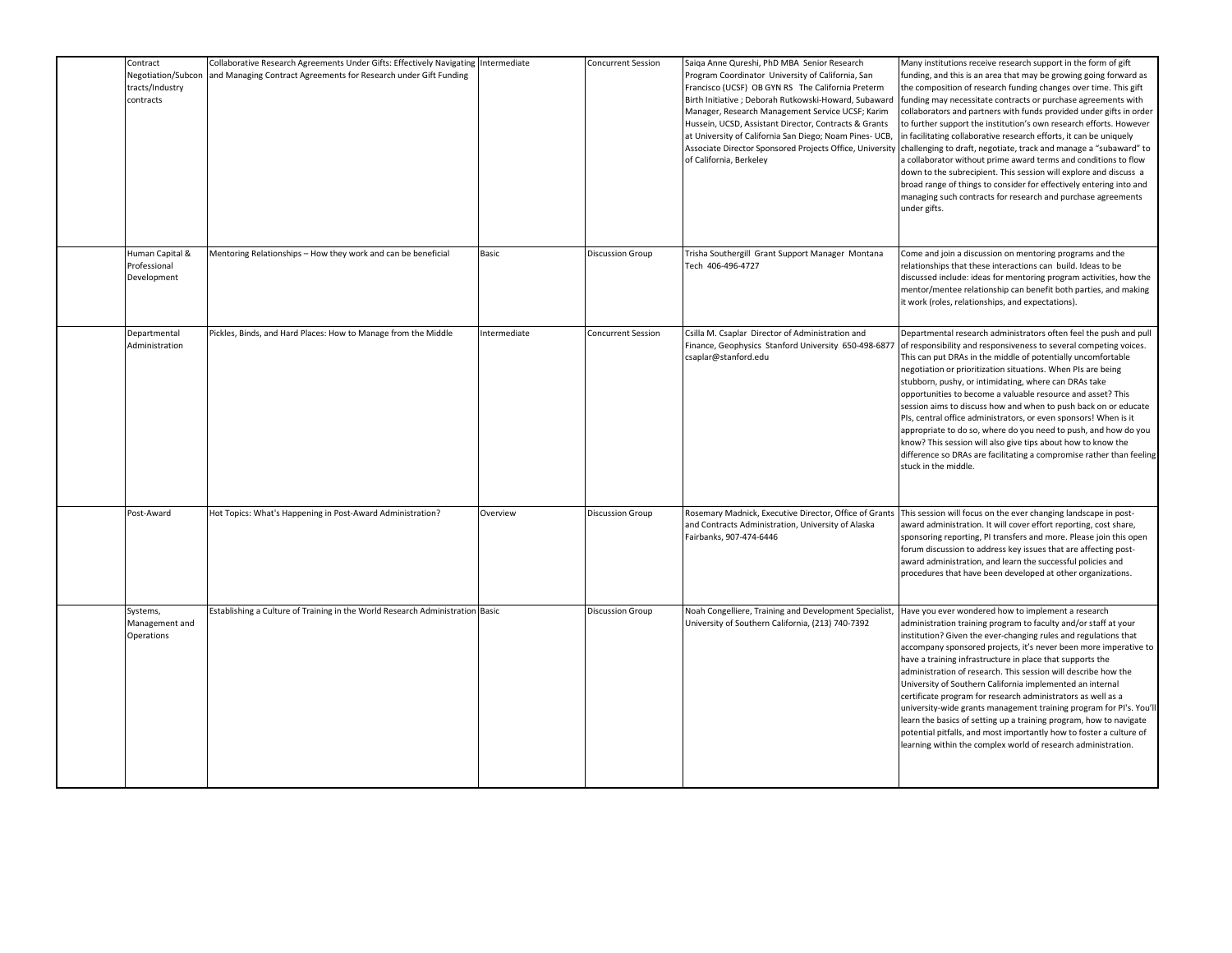| Contract<br>Negotiation/Subcon<br>tracts/Industry<br>contracts | Collaborative Research Agreements Under Gifts: Effectively Navigating<br>and Managing Contract Agreements for Research under Gift Funding | Intermediate | <b>Concurrent Session</b> | Saiga Anne Qureshi, PhD MBA Senior Research<br>Program Coordinator University of California, San<br>Francisco (UCSF) OB GYN RS The California Preterm<br>Birth Initiative ; Deborah Rutkowski-Howard, Subaward<br>Manager, Research Management Service UCSF; Karim<br>Hussein, UCSD, Assistant Director, Contracts & Grants<br>at University of California San Diego; Noam Pines- UCB,<br>Associate Director Sponsored Projects Office, University<br>of California, Berkeley | Many institutions receive research support in the form of gift<br>unding, and this is an area that may be growing going forward as<br>the composition of research funding changes over time. This gift<br>unding may necessitate contracts or purchase agreements with<br>collaborators and partners with funds provided under gifts in order<br>to further support the institution's own research efforts. However<br>in facilitating collaborative research efforts, it can be uniquely<br>challenging to draft, negotiate, track and manage a "subaward" to<br>a collaborator without prime award terms and conditions to flow<br>down to the subrecipient. This session will explore and discuss a<br>broad range of things to consider for effectively entering into and<br>managing such contracts for research and purchase agreements<br>under gifts. |
|----------------------------------------------------------------|-------------------------------------------------------------------------------------------------------------------------------------------|--------------|---------------------------|-------------------------------------------------------------------------------------------------------------------------------------------------------------------------------------------------------------------------------------------------------------------------------------------------------------------------------------------------------------------------------------------------------------------------------------------------------------------------------|---------------------------------------------------------------------------------------------------------------------------------------------------------------------------------------------------------------------------------------------------------------------------------------------------------------------------------------------------------------------------------------------------------------------------------------------------------------------------------------------------------------------------------------------------------------------------------------------------------------------------------------------------------------------------------------------------------------------------------------------------------------------------------------------------------------------------------------------------------------|
| Human Capital &<br>Professional<br>Development                 | Mentoring Relationships - How they work and can be beneficial                                                                             | Basic        | <b>Discussion Group</b>   | Trisha Southergill Grant Support Manager Montana<br>Tech 406-496-4727                                                                                                                                                                                                                                                                                                                                                                                                         | Come and join a discussion on mentoring programs and the<br>relationships that these interactions can build. Ideas to be<br>discussed include: ideas for mentoring program activities, how the<br>mentor/mentee relationship can benefit both parties, and making<br>it work (roles, relationships, and expectations).                                                                                                                                                                                                                                                                                                                                                                                                                                                                                                                                        |
| Departmental<br>Administration                                 | Pickles, Binds, and Hard Places: How to Manage from the Middle                                                                            | Intermediate | <b>Concurrent Session</b> | Csilla M. Csaplar Director of Administration and<br>Finance, Geophysics Stanford University 650-498-6877<br>csaplar@stanford.edu                                                                                                                                                                                                                                                                                                                                              | Departmental research administrators often feel the push and pull<br>of responsibility and responsiveness to several competing voices.<br>This can put DRAs in the middle of potentially uncomfortable<br>negotiation or prioritization situations. When PIs are being<br>stubborn, pushy, or intimidating, where can DRAs take<br>opportunities to become a valuable resource and asset? This<br>session aims to discuss how and when to push back on or educate<br>PIs, central office administrators, or even sponsors! When is it<br>appropriate to do so, where do you need to push, and how do you<br>know? This session will also give tips about how to know the<br>difference so DRAs are facilitating a compromise rather than feeling<br>stuck in the middle.                                                                                      |
| Post-Award                                                     | Hot Topics: What's Happening in Post-Award Administration?                                                                                | Overview     | <b>Discussion Group</b>   | and Contracts Administration, University of Alaska<br>Fairbanks, 907-474-6446                                                                                                                                                                                                                                                                                                                                                                                                 | Rosemary Madnick, Executive Director, Office of Grants This session will focus on the ever changing landscape in post-<br>award administration. It will cover effort reporting, cost share,<br>sponsoring reporting, PI transfers and more. Please join this open<br>forum discussion to address key issues that are affecting post-<br>award administration, and learn the successful policies and<br>procedures that have been developed at other organizations.                                                                                                                                                                                                                                                                                                                                                                                            |
| Systems,<br>Management and<br>Operations                       | Establishing a Culture of Training in the World Research Administration Basic                                                             |              | <b>Discussion Group</b>   | Noah Congelliere, Training and Development Specialist,<br>University of Southern California, (213) 740-7392                                                                                                                                                                                                                                                                                                                                                                   | Have you ever wondered how to implement a research<br>administration training program to faculty and/or staff at your<br>institution? Given the ever-changing rules and regulations that<br>accompany sponsored projects, it's never been more imperative to<br>have a training infrastructure in place that supports the<br>administration of research. This session will describe how the<br>University of Southern California implemented an internal<br>certificate program for research administrators as well as a<br>university-wide grants management training program for PI's. You'll<br>learn the basics of setting up a training program, how to navigate<br>potential pitfalls, and most importantly how to foster a culture of<br>learning within the complex world of research administration.                                                 |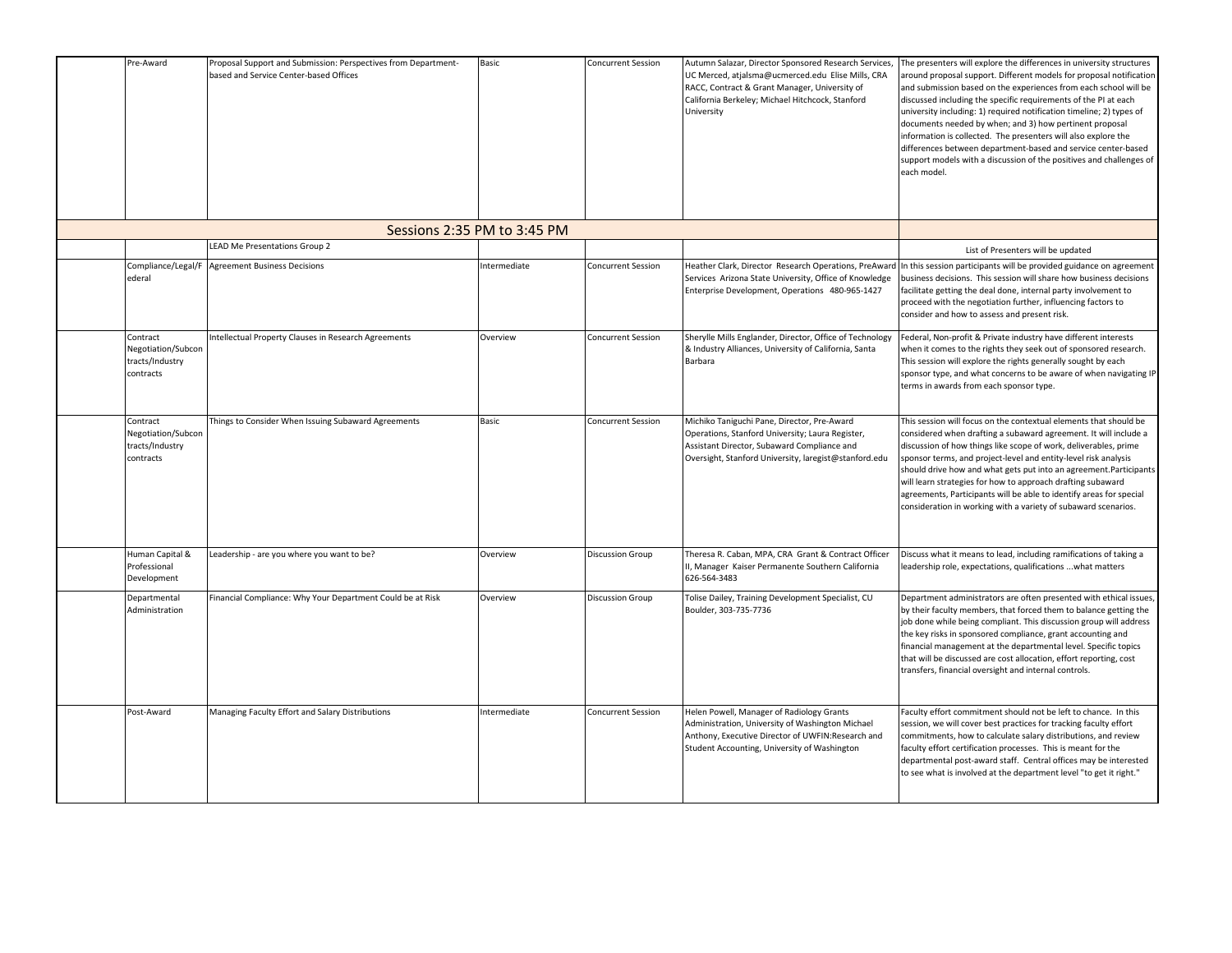| Pre-Award                                                      | Proposal Support and Submission: Perspectives from Department-<br>based and Service Center-based Offices | Basic                       | <b>Concurrent Session</b> | Autumn Salazar, Director Sponsored Research Services,<br>UC Merced, atjalsma@ucmerced.edu Elise Mills, CRA<br>RACC, Contract & Grant Manager, University of<br>California Berkeley; Michael Hitchcock, Stanford<br>University | The presenters will explore the differences in university structures<br>around proposal support. Different models for proposal notification<br>and submission based on the experiences from each school will be<br>discussed including the specific requirements of the PI at each<br>university including: 1) required notification timeline; 2) types of<br>documents needed by when; and 3) how pertinent proposal<br>information is collected. The presenters will also explore the<br>differences between department-based and service center-based<br>support models with a discussion of the positives and challenges of<br>each model. |
|----------------------------------------------------------------|----------------------------------------------------------------------------------------------------------|-----------------------------|---------------------------|-------------------------------------------------------------------------------------------------------------------------------------------------------------------------------------------------------------------------------|------------------------------------------------------------------------------------------------------------------------------------------------------------------------------------------------------------------------------------------------------------------------------------------------------------------------------------------------------------------------------------------------------------------------------------------------------------------------------------------------------------------------------------------------------------------------------------------------------------------------------------------------|
|                                                                |                                                                                                          | Sessions 2:35 PM to 3:45 PM |                           |                                                                                                                                                                                                                               |                                                                                                                                                                                                                                                                                                                                                                                                                                                                                                                                                                                                                                                |
|                                                                | <b>LEAD Me Presentations Group 2</b>                                                                     |                             |                           |                                                                                                                                                                                                                               | List of Presenters will be updated                                                                                                                                                                                                                                                                                                                                                                                                                                                                                                                                                                                                             |
| Compliance/Legal/F<br>ederal                                   | <b>Agreement Business Decisions</b>                                                                      | Intermediate                | <b>Concurrent Session</b> | Heather Clark, Director Research Operations, PreAward<br>Services Arizona State University, Office of Knowledge<br>Enterprise Development, Operations 480-965-1427                                                            | In this session participants will be provided guidance on agreement<br>business decisions. This session will share how business decisions<br>facilitate getting the deal done, internal party involvement to<br>proceed with the negotiation further, influencing factors to<br>consider and how to assess and present risk.                                                                                                                                                                                                                                                                                                                   |
| Contract<br>Negotiation/Subcon<br>tracts/Industry<br>contracts | Intellectual Property Clauses in Research Agreements                                                     | Overview                    | <b>Concurrent Session</b> | Sherylle Mills Englander, Director, Office of Technology<br>& Industry Alliances, University of California, Santa<br>Barbara                                                                                                  | Federal, Non-profit & Private industry have different interests<br>when it comes to the rights they seek out of sponsored research.<br>This session will explore the rights generally sought by each<br>sponsor type, and what concerns to be aware of when navigating IP<br>terms in awards from each sponsor type.                                                                                                                                                                                                                                                                                                                           |
| Contract<br>Negotiation/Subcon<br>tracts/Industry<br>contracts | Things to Consider When Issuing Subaward Agreements                                                      | Basic                       | <b>Concurrent Session</b> | Michiko Taniguchi Pane, Director, Pre-Award<br>Operations, Stanford University; Laura Register,<br>Assistant Director, Subaward Compliance and<br>Oversight, Stanford University, laregist@stanford.edu                       | This session will focus on the contextual elements that should be<br>considered when drafting a subaward agreement. It will include a<br>discussion of how things like scope of work, deliverables, prime<br>sponsor terms, and project-level and entity-level risk analysis<br>should drive how and what gets put into an agreement.Participants<br>will learn strategies for how to approach drafting subaward<br>agreements, Participants will be able to identify areas for special<br>consideration in working with a variety of subaward scenarios.                                                                                      |
| Human Capital &<br>Professional<br>Development                 | Leadership - are you where you want to be?                                                               | Overview                    | <b>Discussion Group</b>   | Theresa R. Caban, MPA, CRA Grant & Contract Officer<br>II, Manager Kaiser Permanente Southern California<br>626-564-3483                                                                                                      | Discuss what it means to lead, including ramifications of taking a<br>leadership role, expectations, qualifications  what matters                                                                                                                                                                                                                                                                                                                                                                                                                                                                                                              |
| Departmental<br>Administration                                 | Financial Compliance: Why Your Department Could be at Risk                                               | Overview                    | <b>Discussion Group</b>   | Tolise Dailey, Training Development Specialist, CU<br>Boulder, 303-735-7736                                                                                                                                                   | Department administrators are often presented with ethical issues,<br>by their faculty members, that forced them to balance getting the<br>job done while being compliant. This discussion group will address<br>the key risks in sponsored compliance, grant accounting and<br>financial management at the departmental level. Specific topics<br>that will be discussed are cost allocation, effort reporting, cost<br>transfers, financial oversight and internal controls.                                                                                                                                                                 |
| Post-Award                                                     | Managing Faculty Effort and Salary Distributions                                                         | Intermediate                | <b>Concurrent Session</b> | Helen Powell, Manager of Radiology Grants<br>Administration, University of Washington Michael<br>Anthony, Executive Director of UWFIN:Research and<br>Student Accounting, University of Washington                            | Faculty effort commitment should not be left to chance. In this<br>session, we will cover best practices for tracking faculty effort<br>commitments, how to calculate salary distributions, and review<br>faculty effort certification processes. This is meant for the<br>departmental post-award staff. Central offices may be interested<br>to see what is involved at the department level "to get it right."                                                                                                                                                                                                                              |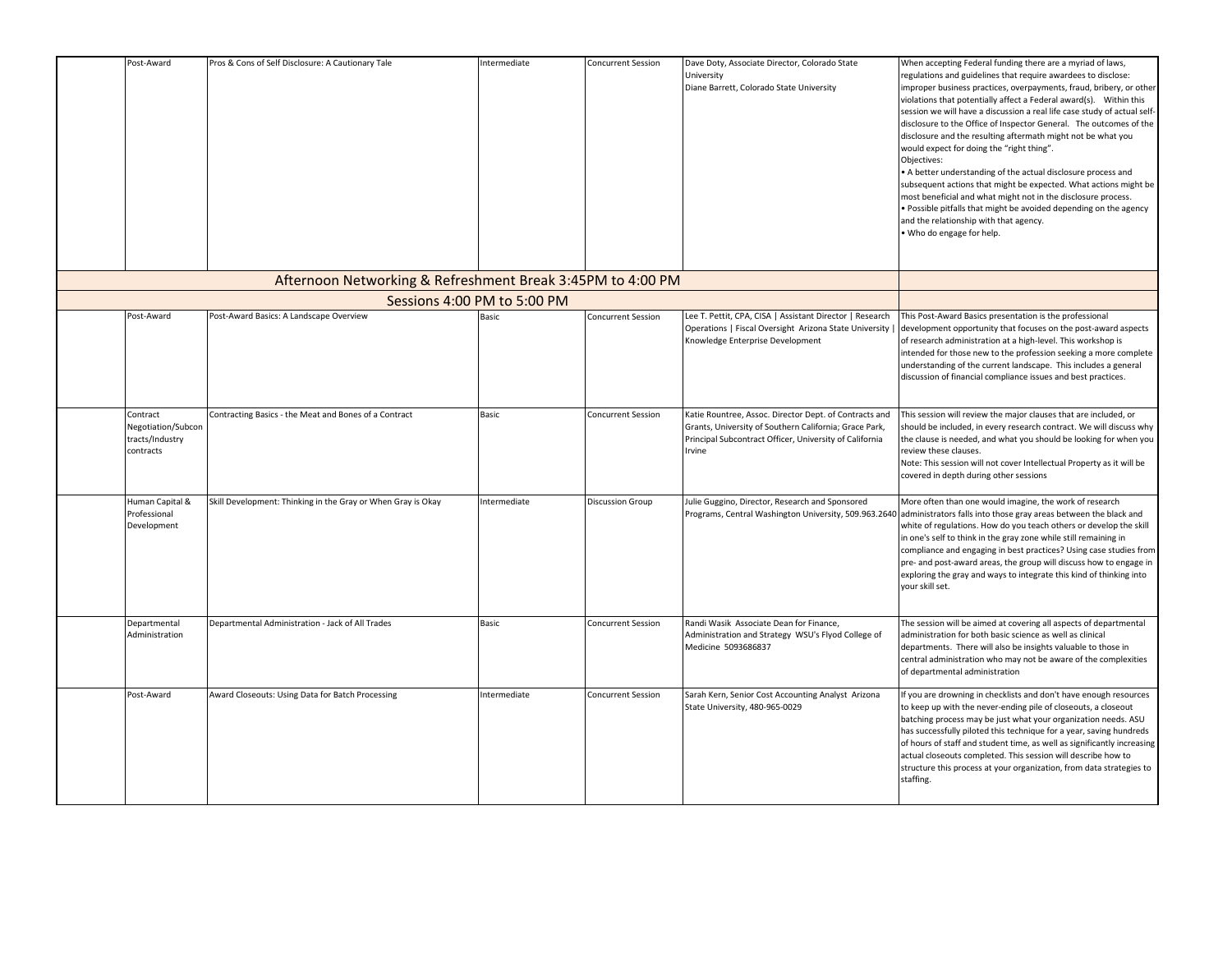| Post-Award                                                     | Pros & Cons of Self Disclosure: A Cautionary Tale            | Intermediate | Concurrent Session        | Dave Doty, Associate Director, Colorado State<br>University<br>Diane Barrett, Colorado State University                                                                               | When accepting Federal funding there are a myriad of laws,<br>regulations and guidelines that require awardees to disclose:<br>improper business practices, overpayments, fraud, bribery, or other<br>violations that potentially affect a Federal award(s). Within this<br>session we will have a discussion a real life case study of actual self-<br>disclosure to the Office of Inspector General. The outcomes of the<br>disclosure and the resulting aftermath might not be what you<br>would expect for doing the "right thing".<br>Objectives:<br>• A better understanding of the actual disclosure process and<br>subsequent actions that might be expected. What actions might be<br>most beneficial and what might not in the disclosure process.<br>. Possible pitfalls that might be avoided depending on the agency<br>and the relationship with that agency.<br>. Who do engage for help. |
|----------------------------------------------------------------|--------------------------------------------------------------|--------------|---------------------------|---------------------------------------------------------------------------------------------------------------------------------------------------------------------------------------|----------------------------------------------------------------------------------------------------------------------------------------------------------------------------------------------------------------------------------------------------------------------------------------------------------------------------------------------------------------------------------------------------------------------------------------------------------------------------------------------------------------------------------------------------------------------------------------------------------------------------------------------------------------------------------------------------------------------------------------------------------------------------------------------------------------------------------------------------------------------------------------------------------|
|                                                                | Afternoon Networking & Refreshment Break 3:45PM to 4:00 PM   |              |                           |                                                                                                                                                                                       |                                                                                                                                                                                                                                                                                                                                                                                                                                                                                                                                                                                                                                                                                                                                                                                                                                                                                                          |
|                                                                | Sessions 4:00 PM to 5:00 PM                                  |              |                           |                                                                                                                                                                                       |                                                                                                                                                                                                                                                                                                                                                                                                                                                                                                                                                                                                                                                                                                                                                                                                                                                                                                          |
| Post-Award                                                     | Post-Award Basics: A Landscape Overview                      | Basic        | Concurrent Session        | Lee T. Pettit, CPA, CISA   Assistant Director   Research<br>Operations   Fiscal Oversight Arizona State University  <br>Knowledge Enterprise Development                              | This Post-Award Basics presentation is the professional<br>development opportunity that focuses on the post-award aspects<br>of research administration at a high-level. This workshop is<br>intended for those new to the profession seeking a more complete<br>understanding of the current landscape. This includes a general<br>discussion of financial compliance issues and best practices.                                                                                                                                                                                                                                                                                                                                                                                                                                                                                                        |
| Contract<br>Negotiation/Subcon<br>tracts/Industry<br>contracts | Contracting Basics - the Meat and Bones of a Contract        | Basic        | Concurrent Session        | Katie Rountree, Assoc. Director Dept. of Contracts and<br>Grants, University of Southern California; Grace Park,<br>Principal Subcontract Officer, University of California<br>Irvine | This session will review the major clauses that are included, or<br>should be included, in every research contract. We will discuss why<br>the clause is needed, and what you should be looking for when you<br>review these clauses.<br>Note: This session will not cover Intellectual Property as it will be<br>covered in depth during other sessions                                                                                                                                                                                                                                                                                                                                                                                                                                                                                                                                                 |
| Human Capital &<br>Professional<br>Development                 | Skill Development: Thinking in the Gray or When Gray is Okay | Intermediate | <b>Discussion Group</b>   | Julie Guggino, Director, Research and Sponsored<br>Programs, Central Washington University, 509.963.2640                                                                              | More often than one would imagine, the work of research<br>administrators falls into those gray areas between the black and<br>white of regulations. How do you teach others or develop the skill<br>in one's self to think in the gray zone while still remaining in<br>compliance and engaging in best practices? Using case studies from<br>pre- and post-award areas, the group will discuss how to engage in<br>exploring the gray and ways to integrate this kind of thinking into<br>your skill set.                                                                                                                                                                                                                                                                                                                                                                                              |
| Departmental<br>Administration                                 | Departmental Administration - Jack of All Trades             | Basic        | <b>Concurrent Session</b> | Randi Wasik Associate Dean for Finance,<br>Administration and Strategy WSU's Flyod College of<br>Medicine 5093686837                                                                  | The session will be aimed at covering all aspects of departmental<br>administration for both basic science as well as clinical<br>departments. There will also be insights valuable to those in<br>central administration who may not be aware of the complexities<br>of departmental administration                                                                                                                                                                                                                                                                                                                                                                                                                                                                                                                                                                                                     |
| Post-Award                                                     | Award Closeouts: Using Data for Batch Processing             | Intermediate | <b>Concurrent Session</b> | Sarah Kern, Senior Cost Accounting Analyst Arizona<br>State University, 480-965-0029                                                                                                  | If you are drowning in checklists and don't have enough resources<br>to keep up with the never-ending pile of closeouts, a closeout<br>batching process may be just what your organization needs. ASU<br>has successfully piloted this technique for a year, saving hundreds<br>of hours of staff and student time, as well as significantly increasing<br>actual closeouts completed. This session will describe how to<br>structure this process at your organization, from data strategies to<br>staffing.                                                                                                                                                                                                                                                                                                                                                                                            |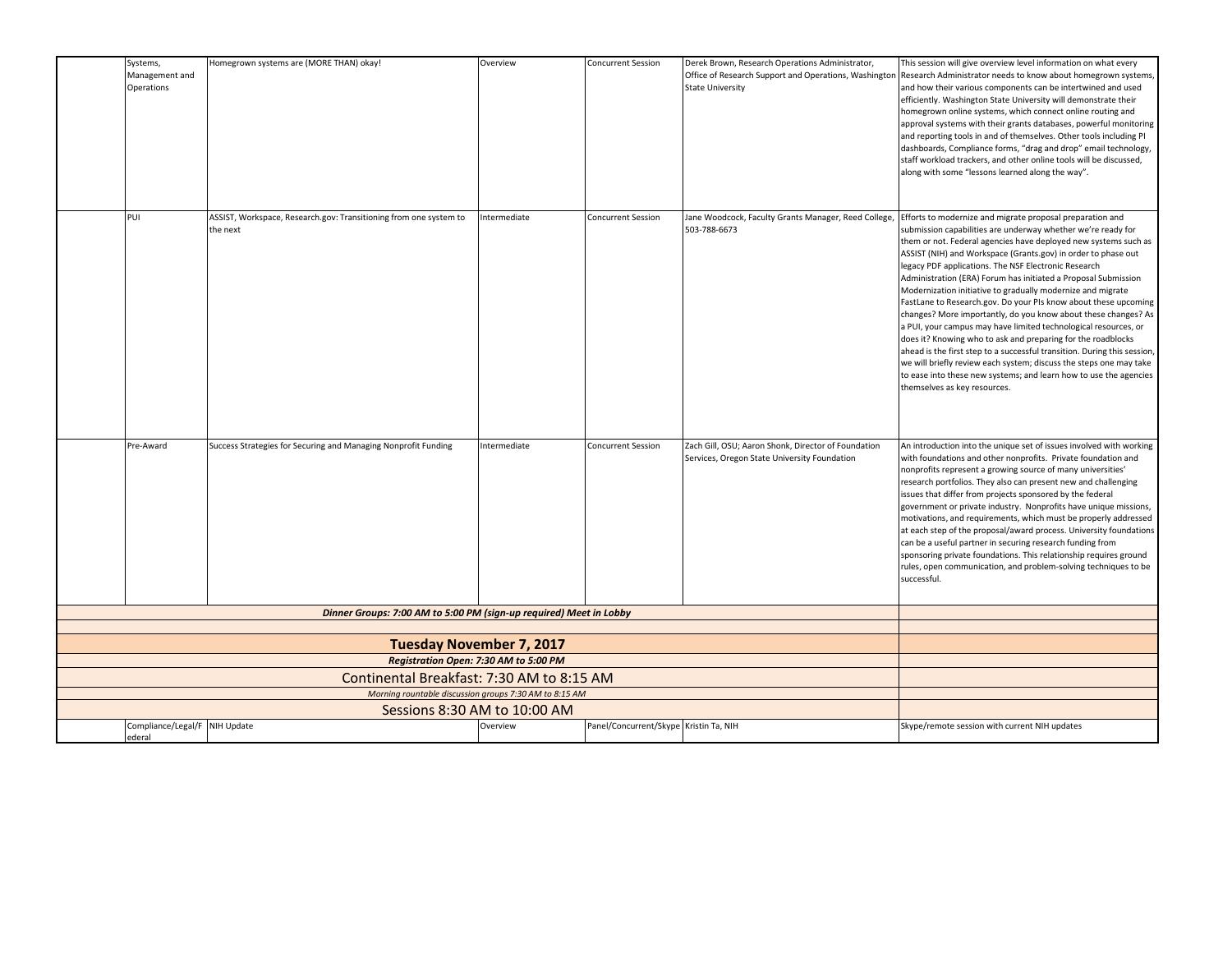| Systems,<br>Management and<br>Operations | Homegrown systems are (MORE THAN) okay!                                       | Overview     | <b>Concurrent Session</b>              | Derek Brown, Research Operations Administrator,<br><b>State University</b>                          | This session will give overview level information on what every<br>Office of Research Support and Operations, Washington Research Administrator needs to know about homegrown systems,<br>and how their various components can be intertwined and used<br>efficiently. Washington State University will demonstrate their<br>homegrown online systems, which connect online routing and<br>approval systems with their grants databases, powerful monitoring<br>and reporting tools in and of themselves. Other tools including PI<br>dashboards, Compliance forms, "drag and drop" email technology,<br>staff workload trackers, and other online tools will be discussed,<br>along with some "lessons learned along the way".                                                                                                                                                                                                                                                       |
|------------------------------------------|-------------------------------------------------------------------------------|--------------|----------------------------------------|-----------------------------------------------------------------------------------------------------|---------------------------------------------------------------------------------------------------------------------------------------------------------------------------------------------------------------------------------------------------------------------------------------------------------------------------------------------------------------------------------------------------------------------------------------------------------------------------------------------------------------------------------------------------------------------------------------------------------------------------------------------------------------------------------------------------------------------------------------------------------------------------------------------------------------------------------------------------------------------------------------------------------------------------------------------------------------------------------------|
| PUI                                      | ASSIST, Workspace, Research.gov: Transitioning from one system to<br>the next | Intermediate | <b>Concurrent Session</b>              | Jane Woodcock, Faculty Grants Manager, Reed College,<br>503-788-6673                                | Efforts to modernize and migrate proposal preparation and<br>submission capabilities are underway whether we're ready for<br>them or not. Federal agencies have deployed new systems such as<br>ASSIST (NIH) and Workspace (Grants.gov) in order to phase out<br>legacy PDF applications. The NSF Electronic Research<br>Administration (ERA) Forum has initiated a Proposal Submission<br>Modernization initiative to gradually modernize and migrate<br>FastLane to Research.gov. Do your PIs know about these upcoming<br>changes? More importantly, do you know about these changes? As<br>a PUI, your campus may have limited technological resources, or<br>does it? Knowing who to ask and preparing for the roadblocks<br>ahead is the first step to a successful transition. During this session,<br>we will briefly review each system; discuss the steps one may take<br>to ease into these new systems; and learn how to use the agencies<br>themselves as key resources. |
| Pre-Award                                | Success Strategies for Securing and Managing Nonprofit Funding                | Intermediate | <b>Concurrent Session</b>              | Zach Gill, OSU; Aaron Shonk, Director of Foundation<br>Services, Oregon State University Foundation | An introduction into the unique set of issues involved with working<br>with foundations and other nonprofits. Private foundation and<br>nonprofits represent a growing source of many universities'<br>research portfolios. They also can present new and challenging<br>issues that differ from projects sponsored by the federal<br>government or private industry. Nonprofits have unique missions,<br>motivations, and requirements, which must be properly addressed<br>at each step of the proposal/award process. University foundations<br>can be a useful partner in securing research funding from<br>sponsoring private foundations. This relationship requires ground<br>rules, open communication, and problem-solving techniques to be<br>successful.                                                                                                                                                                                                                   |
|                                          | Dinner Groups: 7:00 AM to 5:00 PM (sign-up required) Meet in Lobby            |              |                                        |                                                                                                     |                                                                                                                                                                                                                                                                                                                                                                                                                                                                                                                                                                                                                                                                                                                                                                                                                                                                                                                                                                                       |
|                                          | <b>Tuesday November 7, 2017</b>                                               |              |                                        |                                                                                                     |                                                                                                                                                                                                                                                                                                                                                                                                                                                                                                                                                                                                                                                                                                                                                                                                                                                                                                                                                                                       |
|                                          | Registration Open: 7:30 AM to 5:00 PM                                         |              |                                        |                                                                                                     |                                                                                                                                                                                                                                                                                                                                                                                                                                                                                                                                                                                                                                                                                                                                                                                                                                                                                                                                                                                       |
|                                          | Continental Breakfast: 7:30 AM to 8:15 AM                                     |              |                                        |                                                                                                     |                                                                                                                                                                                                                                                                                                                                                                                                                                                                                                                                                                                                                                                                                                                                                                                                                                                                                                                                                                                       |
|                                          | Morning rountable discussion groups 7:30 AM to 8:15 AM                        |              |                                        |                                                                                                     |                                                                                                                                                                                                                                                                                                                                                                                                                                                                                                                                                                                                                                                                                                                                                                                                                                                                                                                                                                                       |
|                                          | Sessions 8:30 AM to 10:00 AM                                                  |              |                                        |                                                                                                     |                                                                                                                                                                                                                                                                                                                                                                                                                                                                                                                                                                                                                                                                                                                                                                                                                                                                                                                                                                                       |
| Compliance/Legal/F NIH Update<br>ederal  |                                                                               | Overview     | Panel/Concurrent/Skype Kristin Ta, NIH |                                                                                                     | Skype/remote session with current NIH updates                                                                                                                                                                                                                                                                                                                                                                                                                                                                                                                                                                                                                                                                                                                                                                                                                                                                                                                                         |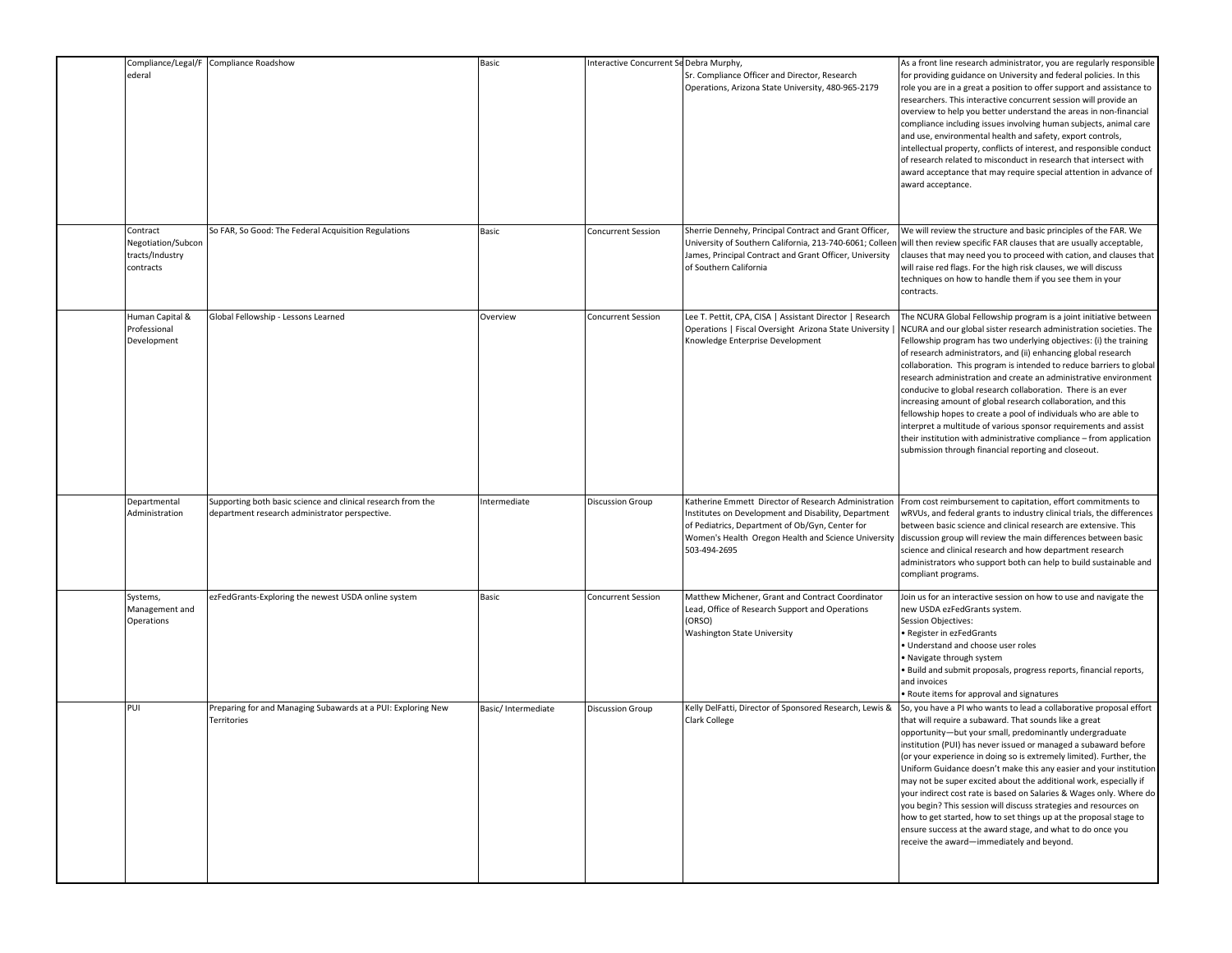| Compliance/Legal/F<br>ederal                                   | Compliance Roadshow                                                                                            | Basic              | nteractive Concurrent Se Debra Murphy, | Sr. Compliance Officer and Director, Research<br>Operations, Arizona State University, 480-965-2179                                                                                                                                    | As a front line research administrator, you are regularly responsible<br>for providing guidance on University and federal policies. In this<br>role you are in a great a position to offer support and assistance to<br>researchers. This interactive concurrent session will provide an<br>overview to help you better understand the areas in non-financial<br>compliance including issues involving human subjects, animal care<br>and use, environmental health and safety, export controls,<br>intellectual property, conflicts of interest, and responsible conduct<br>of research related to misconduct in research that intersect with<br>award acceptance that may require special attention in advance of<br>award acceptance.                                                                                           |
|----------------------------------------------------------------|----------------------------------------------------------------------------------------------------------------|--------------------|----------------------------------------|----------------------------------------------------------------------------------------------------------------------------------------------------------------------------------------------------------------------------------------|------------------------------------------------------------------------------------------------------------------------------------------------------------------------------------------------------------------------------------------------------------------------------------------------------------------------------------------------------------------------------------------------------------------------------------------------------------------------------------------------------------------------------------------------------------------------------------------------------------------------------------------------------------------------------------------------------------------------------------------------------------------------------------------------------------------------------------|
| Contract<br>Negotiation/Subcon<br>tracts/Industry<br>contracts | So FAR, So Good: The Federal Acquisition Regulations                                                           | Basic              | Concurrent Session                     | Sherrie Dennehy, Principal Contract and Grant Officer,<br>University of Southern California, 213-740-6061; Colleen<br>James, Principal Contract and Grant Officer, University<br>of Southern California                                | We will review the structure and basic principles of the FAR. We<br>will then review specific FAR clauses that are usually acceptable,<br>clauses that may need you to proceed with cation, and clauses that<br>will raise red flags. For the high risk clauses, we will discuss<br>techniques on how to handle them if you see them in your<br>contracts.                                                                                                                                                                                                                                                                                                                                                                                                                                                                         |
| Human Capital &<br>Professional<br>Development                 | Global Fellowship - Lessons Learned                                                                            | Overview           | <b>Concurrent Session</b>              | Lee T. Pettit, CPA, CISA   Assistant Director   Research<br>Operations   Fiscal Oversight Arizona State University  <br>Knowledge Enterprise Development                                                                               | The NCURA Global Fellowship program is a joint initiative between<br>NCURA and our global sister research administration societies. The<br>Fellowship program has two underlying objectives: (i) the training<br>of research administrators, and (ii) enhancing global research<br>collaboration. This program is intended to reduce barriers to global<br>research administration and create an administrative environment<br>conducive to global research collaboration. There is an ever<br>increasing amount of global research collaboration, and this<br>fellowship hopes to create a pool of individuals who are able to<br>interpret a multitude of various sponsor requirements and assist<br>their institution with administrative compliance - from application<br>submission through financial reporting and closeout. |
| Departmental<br>Administration                                 | Supporting both basic science and clinical research from the<br>department research administrator perspective. | Intermediate       | <b>Discussion Group</b>                | Katherine Emmett Director of Research Administration<br>Institutes on Development and Disability, Department<br>of Pediatrics, Department of Ob/Gyn, Center for<br>Women's Health Oregon Health and Science University<br>503-494-2695 | From cost reimbursement to capitation, effort commitments to<br>wRVUs, and federal grants to industry clinical trials, the differences<br>between basic science and clinical research are extensive. This<br>discussion group will review the main differences between basic<br>science and clinical research and how department research<br>administrators who support both can help to build sustainable and<br>compliant programs.                                                                                                                                                                                                                                                                                                                                                                                              |
| Systems,<br>Management and<br>Operations                       | ezFedGrants-Exploring the newest USDA online system                                                            | Basic              | <b>Concurrent Session</b>              | Matthew Michener, Grant and Contract Coordinator<br>Lead, Office of Research Support and Operations<br>(ORSO)<br>Washington State University                                                                                           | Join us for an interactive session on how to use and navigate the<br>new USDA ezFedGrants system.<br>Session Objectives:<br>· Register in ezFedGrants<br>· Understand and choose user roles<br>· Navigate through system<br>· Build and submit proposals, progress reports, financial reports,<br>and invoices<br>• Route items for approval and signatures                                                                                                                                                                                                                                                                                                                                                                                                                                                                        |
| PUI                                                            | Preparing for and Managing Subawards at a PUI: Exploring New<br>Territories                                    | Basic/Intermediate | <b>Discussion Group</b>                | Kelly DelFatti, Director of Sponsored Research, Lewis &<br>Clark College                                                                                                                                                               | So, you have a PI who wants to lead a collaborative proposal effort<br>that will require a subaward. That sounds like a great<br>opportunity-but your small, predominantly undergraduate<br>institution (PUI) has never issued or managed a subaward before<br>(or your experience in doing so is extremely limited). Further, the<br>Uniform Guidance doesn't make this any easier and your institution<br>may not be super excited about the additional work, especially if<br>your indirect cost rate is based on Salaries & Wages only. Where do<br>you begin? This session will discuss strategies and resources on<br>how to get started, how to set things up at the proposal stage to<br>ensure success at the award stage, and what to do once you<br>receive the award-immediately and beyond.                           |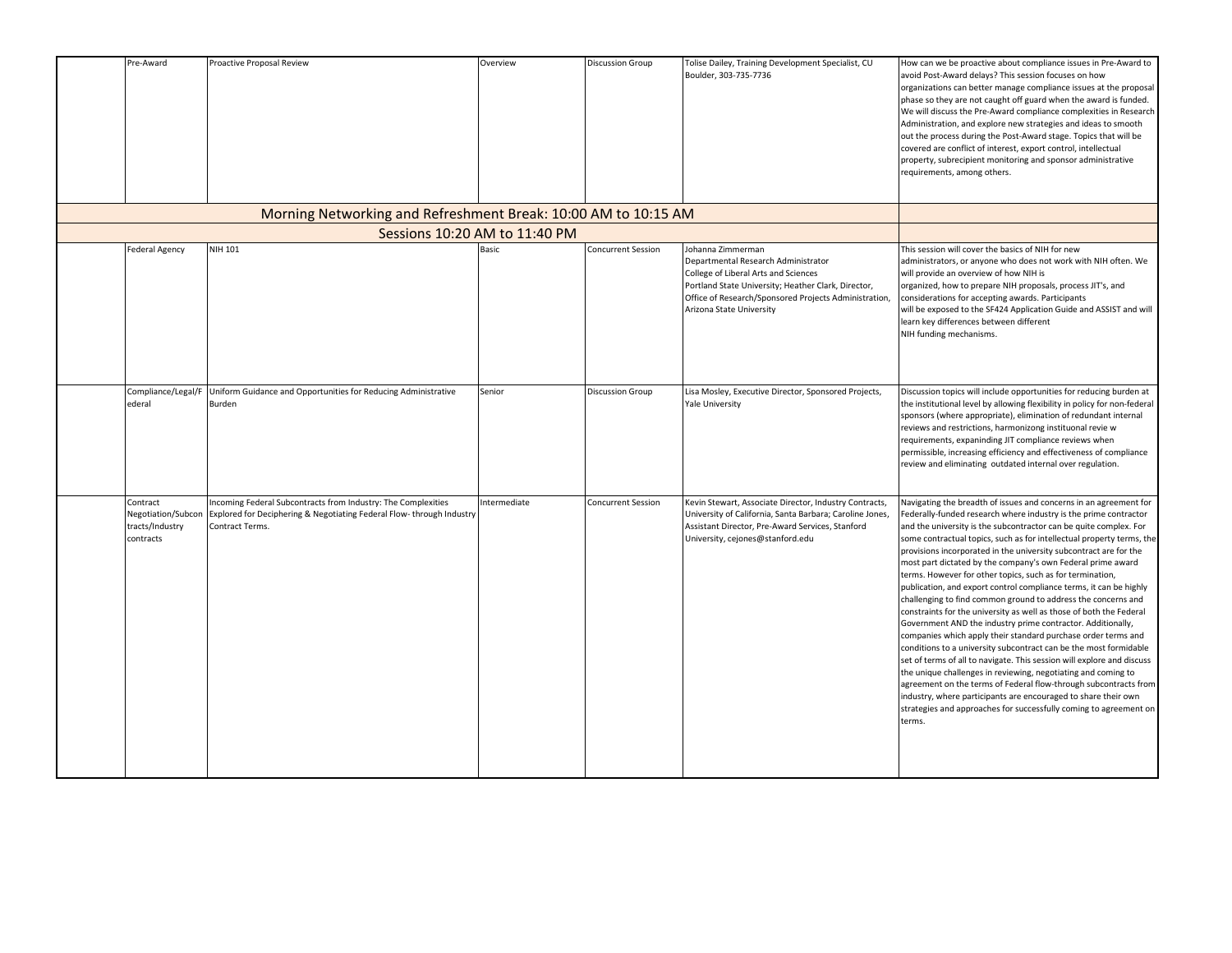| Pre-Award                                                      | Proactive Proposal Review                                                                                                                                | Overview                      | <b>Discussion Group</b>   | Tolise Dailey, Training Development Specialist, CU<br>Boulder, 303-735-7736                                                                                                                                                                  | How can we be proactive about compliance issues in Pre-Award to<br>avoid Post-Award delays? This session focuses on how<br>organizations can better manage compliance issues at the proposal<br>phase so they are not caught off guard when the award is funded.<br>We will discuss the Pre-Award compliance complexities in Research<br>Administration, and explore new strategies and ideas to smooth<br>out the process during the Post-Award stage. Topics that will be<br>covered are conflict of interest, export control, intellectual<br>property, subrecipient monitoring and sponsor administrative<br>requirements, among others.                                                                                                                                                                                                                                                                                                                                                                                                                                                                                                                                                                                                                            |
|----------------------------------------------------------------|----------------------------------------------------------------------------------------------------------------------------------------------------------|-------------------------------|---------------------------|----------------------------------------------------------------------------------------------------------------------------------------------------------------------------------------------------------------------------------------------|-------------------------------------------------------------------------------------------------------------------------------------------------------------------------------------------------------------------------------------------------------------------------------------------------------------------------------------------------------------------------------------------------------------------------------------------------------------------------------------------------------------------------------------------------------------------------------------------------------------------------------------------------------------------------------------------------------------------------------------------------------------------------------------------------------------------------------------------------------------------------------------------------------------------------------------------------------------------------------------------------------------------------------------------------------------------------------------------------------------------------------------------------------------------------------------------------------------------------------------------------------------------------|
|                                                                | Morning Networking and Refreshment Break: 10:00 AM to 10:15 AM                                                                                           |                               |                           |                                                                                                                                                                                                                                              |                                                                                                                                                                                                                                                                                                                                                                                                                                                                                                                                                                                                                                                                                                                                                                                                                                                                                                                                                                                                                                                                                                                                                                                                                                                                         |
|                                                                |                                                                                                                                                          | Sessions 10:20 AM to 11:40 PM |                           |                                                                                                                                                                                                                                              |                                                                                                                                                                                                                                                                                                                                                                                                                                                                                                                                                                                                                                                                                                                                                                                                                                                                                                                                                                                                                                                                                                                                                                                                                                                                         |
| Federal Agency                                                 | NIH 101                                                                                                                                                  | <b>Basic</b>                  | <b>Concurrent Session</b> | Johanna Zimmerman<br>Departmental Research Administrator<br>College of Liberal Arts and Sciences<br>Portland State University; Heather Clark, Director,<br>Office of Research/Sponsored Projects Administration,<br>Arizona State University | This session will cover the basics of NIH for new<br>administrators, or anyone who does not work with NIH often. We<br>will provide an overview of how NIH is<br>organized, how to prepare NIH proposals, process JIT's, and<br>considerations for accepting awards. Participants<br>will be exposed to the SF424 Application Guide and ASSIST and will<br>learn key differences between different<br>NIH funding mechanisms.                                                                                                                                                                                                                                                                                                                                                                                                                                                                                                                                                                                                                                                                                                                                                                                                                                           |
| Compliance/Legal/F<br>ederal                                   | Uniform Guidance and Opportunities for Reducing Administrative<br>Burden                                                                                 | Senior                        | <b>Discussion Group</b>   | Lisa Mosley, Executive Director, Sponsored Projects,<br><b>Yale University</b>                                                                                                                                                               | Discussion topics will include opportunities for reducing burden at<br>the institutional level by allowing flexibility in policy for non-federal<br>sponsors (where appropriate), elimination of redundant internal<br>reviews and restrictions, harmonizong instituonal revie w<br>requirements, expaninding JIT compliance reviews when<br>permissible, increasing efficiency and effectiveness of compliance<br>review and eliminating outdated internal over regulation.                                                                                                                                                                                                                                                                                                                                                                                                                                                                                                                                                                                                                                                                                                                                                                                            |
| Contract<br>Negotiation/Subcon<br>tracts/Industry<br>contracts | Incoming Federal Subcontracts from Industry: The Complexities<br>Explored for Deciphering & Negotiating Federal Flow-through Industry<br>Contract Terms. | Intermediate                  | <b>Concurrent Session</b> | Kevin Stewart, Associate Director, Industry Contracts,<br>University of California, Santa Barbara; Caroline Jones,<br>Assistant Director, Pre-Award Services, Stanford<br>University, cejones@stanford.edu                                   | Navigating the breadth of issues and concerns in an agreement for<br>Federally-funded research where industry is the prime contractor<br>and the university is the subcontractor can be quite complex. For<br>some contractual topics, such as for intellectual property terms, the<br>provisions incorporated in the university subcontract are for the<br>most part dictated by the company's own Federal prime award<br>terms. However for other topics, such as for termination,<br>publication, and export control compliance terms, it can be highly<br>challenging to find common ground to address the concerns and<br>constraints for the university as well as those of both the Federal<br>Government AND the industry prime contractor. Additionally,<br>companies which apply their standard purchase order terms and<br>conditions to a university subcontract can be the most formidable<br>set of terms of all to navigate. This session will explore and discuss<br>the unique challenges in reviewing, negotiating and coming to<br>agreement on the terms of Federal flow-through subcontracts from<br>industry, where participants are encouraged to share their own<br>strategies and approaches for successfully coming to agreement on<br>terms. |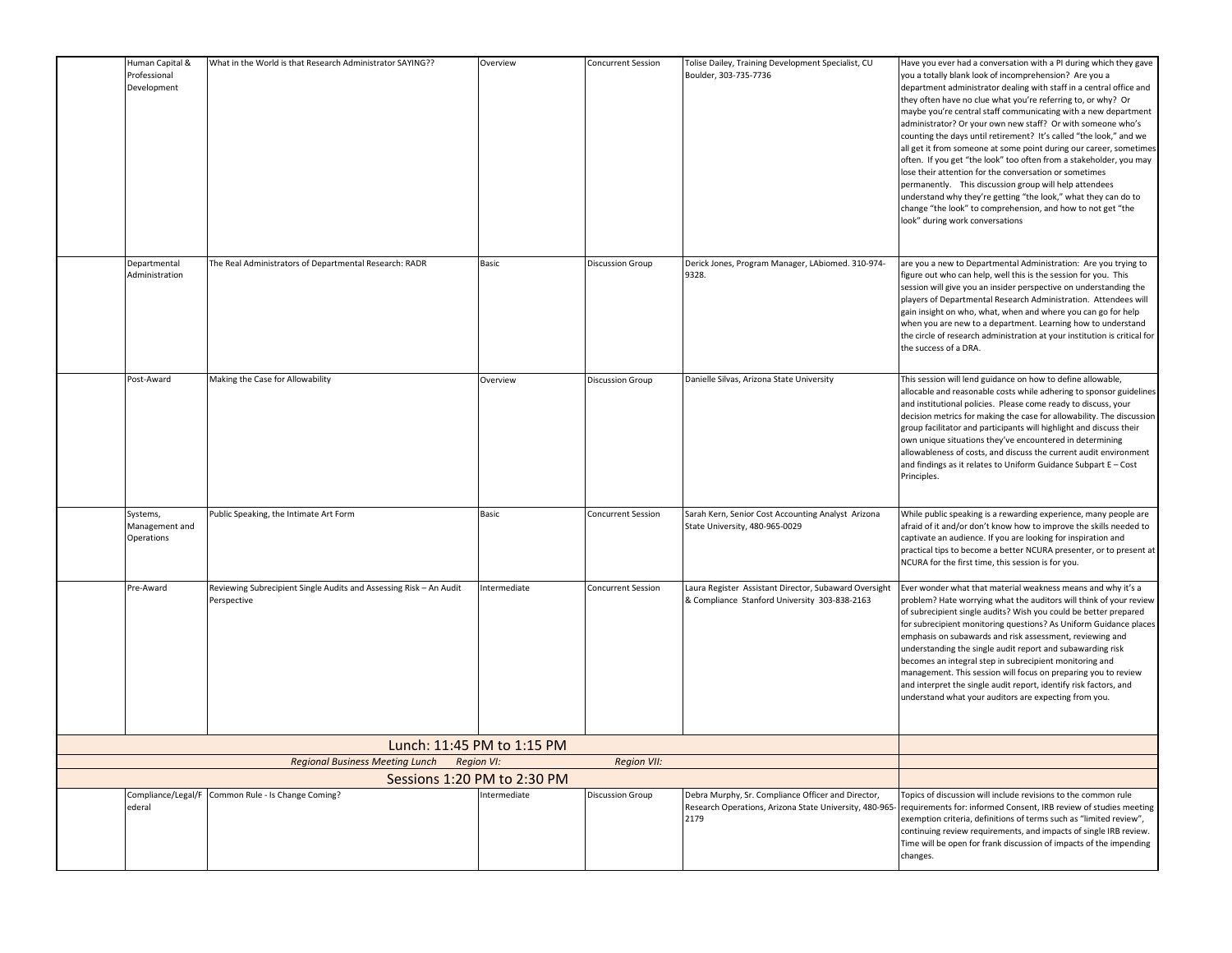| Human Capital &<br>Professional<br>Development | What in the World is that Research Administrator SAYING??                         | Overview                                   | <b>Concurrent Session</b> | Tolise Dailey, Training Development Specialist, CU<br>Boulder, 303-735-7736                            | Have you ever had a conversation with a PI during which they gave<br>you a totally blank look of incomprehension? Are you a<br>department administrator dealing with staff in a central office and<br>they often have no clue what you're referring to, or why? Or<br>maybe you're central staff communicating with a new department<br>administrator? Or your own new staff? Or with someone who's<br>counting the days until retirement? It's called "the look," and we<br>all get it from someone at some point during our career, sometimes<br>often. If you get "the look" too often from a stakeholder, you may<br>lose their attention for the conversation or sometimes<br>permanently. This discussion group will help attendees<br>understand why they're getting "the look," what they can do to<br>change "the look" to comprehension, and how to not get "the<br>look" during work conversations |
|------------------------------------------------|-----------------------------------------------------------------------------------|--------------------------------------------|---------------------------|--------------------------------------------------------------------------------------------------------|---------------------------------------------------------------------------------------------------------------------------------------------------------------------------------------------------------------------------------------------------------------------------------------------------------------------------------------------------------------------------------------------------------------------------------------------------------------------------------------------------------------------------------------------------------------------------------------------------------------------------------------------------------------------------------------------------------------------------------------------------------------------------------------------------------------------------------------------------------------------------------------------------------------|
| Departmental<br>Administration                 | The Real Administrators of Departmental Research: RADR                            | Basic                                      | <b>Discussion Group</b>   | Derick Jones, Program Manager, LAbiomed. 310-974-<br>9328.                                             | are you a new to Departmental Administration: Are you trying to<br>figure out who can help, well this is the session for you. This<br>session will give you an insider perspective on understanding the<br>players of Departmental Research Administration. Attendees will<br>gain insight on who, what, when and where you can go for help<br>when you are new to a department. Learning how to understand<br>the circle of research administration at your institution is critical for<br>the success of a DRA.                                                                                                                                                                                                                                                                                                                                                                                             |
| Post-Award                                     | Making the Case for Allowability                                                  | Overview                                   | <b>Discussion Group</b>   | Danielle Silvas, Arizona State University                                                              | This session will lend guidance on how to define allowable,<br>allocable and reasonable costs while adhering to sponsor guidelines<br>and institutional policies. Please come ready to discuss, your<br>decision metrics for making the case for allowability. The discussion<br>group facilitator and participants will highlight and discuss their<br>own unique situations they've encountered in determining<br>allowableness of costs, and discuss the current audit environment<br>and findings as it relates to Uniform Guidance Subpart E - Cost<br>Principles.                                                                                                                                                                                                                                                                                                                                       |
| Systems,<br>Management and<br>Operations       | Public Speaking, the Intimate Art Form                                            | Basic                                      | <b>Concurrent Session</b> | Sarah Kern, Senior Cost Accounting Analyst Arizona<br>State University, 480-965-0029                   | While public speaking is a rewarding experience, many people are<br>afraid of it and/or don't know how to improve the skills needed to<br>captivate an audience. If you are looking for inspiration and<br>practical tips to become a better NCURA presenter, or to present at<br>NCURA for the first time, this session is for you.                                                                                                                                                                                                                                                                                                                                                                                                                                                                                                                                                                          |
| Pre-Award                                      | Reviewing Subrecipient Single Audits and Assessing Risk - An Audit<br>Perspective | Intermediate                               | <b>Concurrent Session</b> | Laura Register Assistant Director, Subaward Oversight<br>& Compliance Stanford University 303-838-2163 | Ever wonder what that material weakness means and why it's a<br>problem? Hate worrying what the auditors will think of your review<br>of subrecipient single audits? Wish you could be better prepared<br>for subrecipient monitoring questions? As Uniform Guidance places<br>emphasis on subawards and risk assessment, reviewing and<br>understanding the single audit report and subawarding risk<br>becomes an integral step in subrecipient monitoring and<br>management. This session will focus on preparing you to review<br>and interpret the single audit report, identify risk factors, and<br>understand what your auditors are expecting from you.                                                                                                                                                                                                                                              |
|                                                |                                                                                   | Lunch: 11:45 PM to 1:15 PM                 |                           |                                                                                                        |                                                                                                                                                                                                                                                                                                                                                                                                                                                                                                                                                                                                                                                                                                                                                                                                                                                                                                               |
|                                                | <b>Regional Business Meeting Lunch</b>                                            | <b>Region VI:</b>                          | <b>Region VII:</b>        |                                                                                                        |                                                                                                                                                                                                                                                                                                                                                                                                                                                                                                                                                                                                                                                                                                                                                                                                                                                                                                               |
| Compliance/Legal/F                             | Common Rule - Is Change Coming?                                                   | Sessions 1:20 PM to 2:30 PM<br>ntermediate | <b>Discussion Group</b>   | Debra Murphy, Sr. Compliance Officer and Director,                                                     | Topics of discussion will include revisions to the common rule                                                                                                                                                                                                                                                                                                                                                                                                                                                                                                                                                                                                                                                                                                                                                                                                                                                |
| ederal                                         |                                                                                   |                                            |                           | Research Operations, Arizona State University, 480-965-<br>2179                                        | equirements for: informed Consent, IRB review of studies meeting<br>exemption criteria, definitions of terms such as "limited review",<br>continuing review requirements, and impacts of single IRB review.<br>Time will be open for frank discussion of impacts of the impending<br>changes.                                                                                                                                                                                                                                                                                                                                                                                                                                                                                                                                                                                                                 |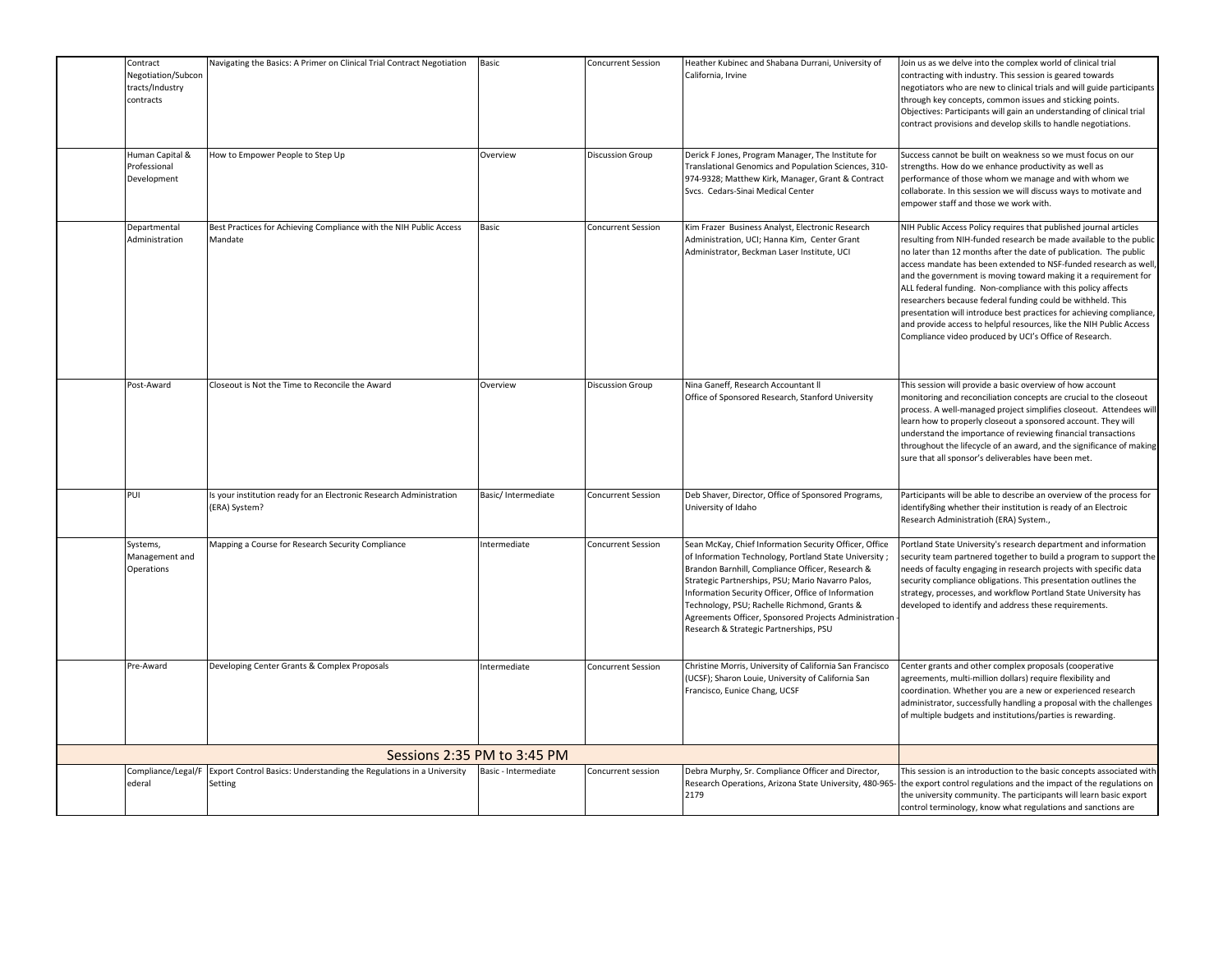| Contract<br>Negotiation/Subcon<br>tracts/Industry<br>contracts | Navigating the Basics: A Primer on Clinical Trial Contract Negotiation               | Basic                       | <b>Concurrent Session</b> | Heather Kubinec and Shabana Durrani, University of<br>California, Irvine                                                                                                                                                                                                                                                                                                                                                           | Join us as we delve into the complex world of clinical trial<br>contracting with industry. This session is geared towards<br>negotiators who are new to clinical trials and will guide participants<br>through key concepts, common issues and sticking points.<br>Objectives: Participants will gain an understanding of clinical trial<br>contract provisions and develop skills to handle negotiations.                                                                                                                                                                                                                                                                                  |
|----------------------------------------------------------------|--------------------------------------------------------------------------------------|-----------------------------|---------------------------|------------------------------------------------------------------------------------------------------------------------------------------------------------------------------------------------------------------------------------------------------------------------------------------------------------------------------------------------------------------------------------------------------------------------------------|---------------------------------------------------------------------------------------------------------------------------------------------------------------------------------------------------------------------------------------------------------------------------------------------------------------------------------------------------------------------------------------------------------------------------------------------------------------------------------------------------------------------------------------------------------------------------------------------------------------------------------------------------------------------------------------------|
| Human Capital &<br>Professional<br>Development                 | How to Empower People to Step Up                                                     | Overview                    | <b>Discussion Group</b>   | Derick F Jones, Program Manager, The Institute for<br>Translational Genomics and Population Sciences, 310-<br>974-9328; Matthew Kirk, Manager, Grant & Contract<br>Svcs. Cedars-Sinai Medical Center                                                                                                                                                                                                                               | Success cannot be built on weakness so we must focus on our<br>strengths. How do we enhance productivity as well as<br>berformance of those whom we manage and with whom we<br>collaborate. In this session we will discuss ways to motivate and<br>empower staff and those we work with.                                                                                                                                                                                                                                                                                                                                                                                                   |
| Departmental<br>Administration                                 | Best Practices for Achieving Compliance with the NIH Public Access<br>Mandate        | Basic                       | <b>Concurrent Session</b> | Kim Frazer Business Analyst, Electronic Research<br>Administration, UCI; Hanna Kim, Center Grant<br>Administrator, Beckman Laser Institute, UCI                                                                                                                                                                                                                                                                                    | NIH Public Access Policy requires that published journal articles<br>resulting from NIH-funded research be made available to the public<br>no later than 12 months after the date of publication. The public<br>access mandate has been extended to NSF-funded research as well,<br>and the government is moving toward making it a requirement for<br>ALL federal funding. Non-compliance with this policy affects<br>researchers because federal funding could be withheld. This<br>presentation will introduce best practices for achieving compliance,<br>and provide access to helpful resources, like the NIH Public Access<br>Compliance video produced by UCI's Office of Research. |
| Post-Award                                                     | Closeout is Not the Time to Reconcile the Award                                      | Overview                    | <b>Discussion Group</b>   | Nina Ganeff, Research Accountant II<br>Office of Sponsored Research, Stanford University                                                                                                                                                                                                                                                                                                                                           | This session will provide a basic overview of how account<br>monitoring and reconciliation concepts are crucial to the closeout<br>process. A well-managed project simplifies closeout. Attendees will<br>learn how to properly closeout a sponsored account. They will<br>understand the importance of reviewing financial transactions<br>throughout the lifecycle of an award, and the significance of making<br>sure that all sponsor's deliverables have been met.                                                                                                                                                                                                                     |
| PUI                                                            | Is your institution ready for an Electronic Research Administration<br>(ERA) System? | Basic/Intermediate          | <b>Concurrent Session</b> | Deb Shaver, Director, Office of Sponsored Programs,<br>University of Idaho                                                                                                                                                                                                                                                                                                                                                         | Participants will be able to describe an overview of the process for<br>identify8ing whether their institution is ready of an Electroic<br>Research Administratioh (ERA) System.,                                                                                                                                                                                                                                                                                                                                                                                                                                                                                                           |
| Systems,<br>Management and<br>Operations                       | Mapping a Course for Research Security Compliance                                    | Intermediate                | <b>Concurrent Session</b> | Sean McKay, Chief Information Security Officer, Office<br>of Information Technology, Portland State University;<br>Brandon Barnhill, Compliance Officer, Research &<br>Strategic Partnerships, PSU; Mario Navarro Palos,<br>Information Security Officer, Office of Information<br>Technology, PSU; Rachelle Richmond, Grants &<br>Agreements Officer, Sponsored Projects Administration<br>Research & Strategic Partnerships, PSU | Portland State University's research department and information<br>security team partnered together to build a program to support the<br>needs of faculty engaging in research projects with specific data<br>security compliance obligations. This presentation outlines the<br>strategy, processes, and workflow Portland State University has<br>developed to identify and address these requirements.                                                                                                                                                                                                                                                                                   |
| Pre-Award                                                      | Developing Center Grants & Complex Proposals                                         | Intermediate                | <b>Concurrent Session</b> | Christine Morris, University of California San Francisco<br>UCSF); Sharon Louie, University of California San<br>Francisco, Eunice Chang, UCSF                                                                                                                                                                                                                                                                                     | Center grants and other complex proposals (cooperative<br>agreements, multi-million dollars) require flexibility and<br>coordination. Whether you are a new or experienced research<br>administrator, successfully handling a proposal with the challenges<br>of multiple budgets and institutions/parties is rewarding.                                                                                                                                                                                                                                                                                                                                                                    |
|                                                                |                                                                                      | Sessions 2:35 PM to 3:45 PM |                           |                                                                                                                                                                                                                                                                                                                                                                                                                                    |                                                                                                                                                                                                                                                                                                                                                                                                                                                                                                                                                                                                                                                                                             |
| Compliance/Legal/F<br>ederal                                   | Export Control Basics: Understanding the Regulations in a University<br>Setting      | Basic - Intermediate        | Concurrent session        | Debra Murphy, Sr. Compliance Officer and Director,<br>Research Operations, Arizona State University, 480-965-<br>2179                                                                                                                                                                                                                                                                                                              | This session is an introduction to the basic concepts associated with<br>the export control regulations and the impact of the regulations on<br>the university community. The participants will learn basic export<br>control terminology, know what regulations and sanctions are                                                                                                                                                                                                                                                                                                                                                                                                          |

involved, and understand how to better identify and manage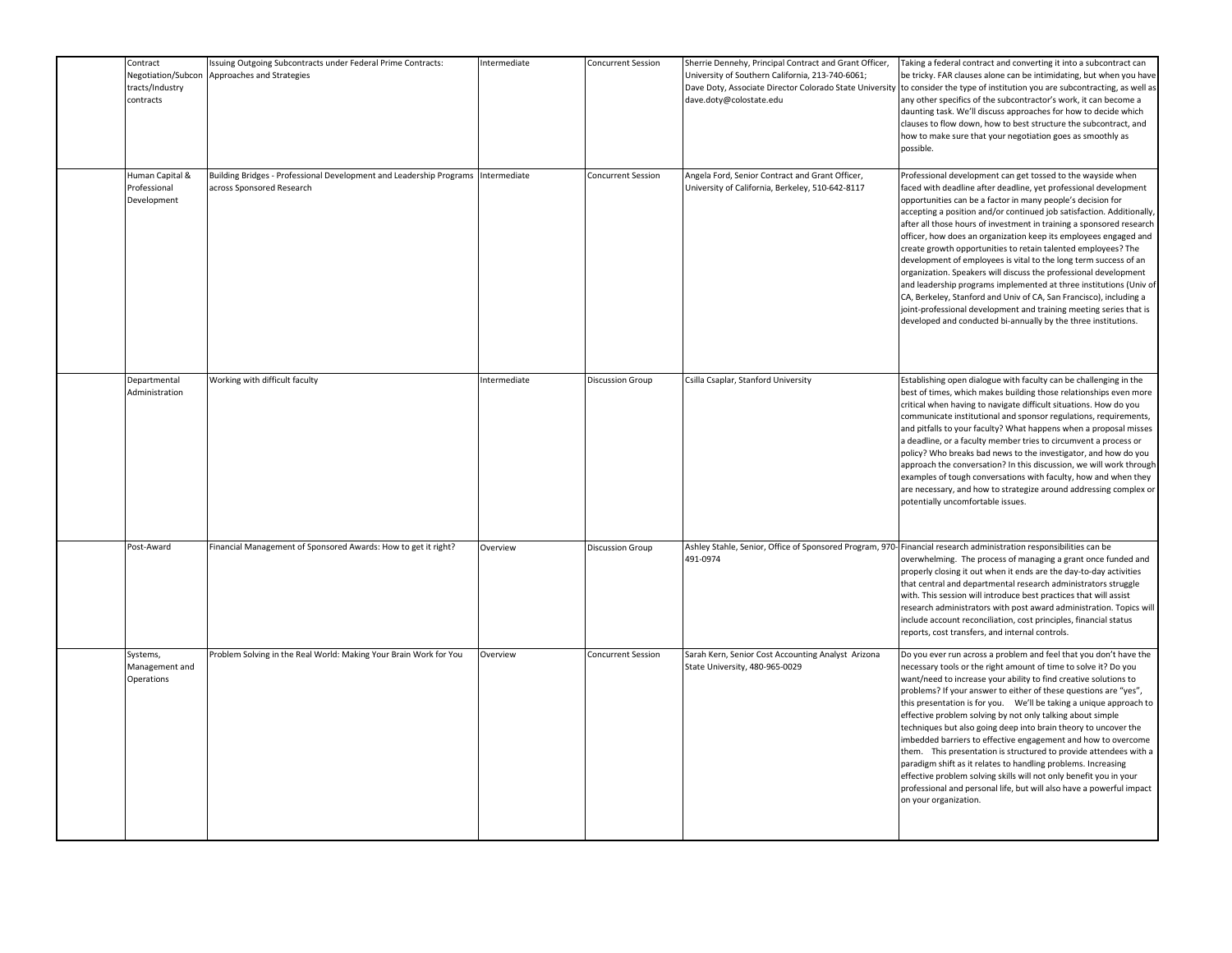| Contract<br>Negotiation/Subcon<br>tracts/Industry<br>contracts | Issuing Outgoing Subcontracts under Federal Prime Contracts:<br>Approaches and Strategies                     | Intermediate | <b>Concurrent Session</b> | Sherrie Dennehy, Principal Contract and Grant Officer,<br>University of Southern California, 213-740-6061;<br>Dave Doty, Associate Director Colorado State University<br>dave.doty@colostate.edu | Taking a federal contract and converting it into a subcontract can<br>be tricky. FAR clauses alone can be intimidating, but when you have<br>to consider the type of institution you are subcontracting, as well as<br>any other specifics of the subcontractor's work, it can become a<br>daunting task. We'll discuss approaches for how to decide which<br>clauses to flow down, how to best structure the subcontract, and<br>how to make sure that your negotiation goes as smoothly as<br>possible.                                                                                                                                                                                                                                                                                                                                                                                                        |
|----------------------------------------------------------------|---------------------------------------------------------------------------------------------------------------|--------------|---------------------------|--------------------------------------------------------------------------------------------------------------------------------------------------------------------------------------------------|------------------------------------------------------------------------------------------------------------------------------------------------------------------------------------------------------------------------------------------------------------------------------------------------------------------------------------------------------------------------------------------------------------------------------------------------------------------------------------------------------------------------------------------------------------------------------------------------------------------------------------------------------------------------------------------------------------------------------------------------------------------------------------------------------------------------------------------------------------------------------------------------------------------|
| Human Capital &<br>Professional<br>Development                 | Building Bridges - Professional Development and Leadership Programs Intermediate<br>across Sponsored Research |              | <b>Concurrent Session</b> | Angela Ford, Senior Contract and Grant Officer,<br>University of California, Berkeley, 510-642-8117                                                                                              | Professional development can get tossed to the wayside when<br>faced with deadline after deadline, yet professional development<br>opportunities can be a factor in many people's decision for<br>accepting a position and/or continued job satisfaction. Additionally,<br>after all those hours of investment in training a sponsored research<br>officer, how does an organization keep its employees engaged and<br>create growth opportunities to retain talented employees? The<br>development of employees is vital to the long term success of an<br>organization. Speakers will discuss the professional development<br>and leadership programs implemented at three institutions (Univ of<br>CA, Berkeley, Stanford and Univ of CA, San Francisco), including a<br>joint-professional development and training meeting series that is<br>developed and conducted bi-annually by the three institutions. |
| Departmental<br>Administration                                 | Working with difficult faculty                                                                                | Intermediate | <b>Discussion Group</b>   | Csilla Csaplar, Stanford University                                                                                                                                                              | Establishing open dialogue with faculty can be challenging in the<br>best of times, which makes building those relationships even more<br>critical when having to navigate difficult situations. How do you<br>communicate institutional and sponsor regulations, requirements,<br>and pitfalls to your faculty? What happens when a proposal misses<br>a deadline, or a faculty member tries to circumvent a process or<br>policy? Who breaks bad news to the investigator, and how do you<br>approach the conversation? In this discussion, we will work through<br>examples of tough conversations with faculty, how and when they<br>are necessary, and how to strategize around addressing complex or<br>potentially uncomfortable issues.                                                                                                                                                                  |
| Post-Award                                                     | Financial Management of Sponsored Awards: How to get it right?                                                | Overview     | <b>Discussion Group</b>   | 491-0974                                                                                                                                                                                         | Ashley Stahle, Senior, Office of Sponsored Program, 970- Financial research administration responsibilities can be<br>overwhelming. The process of managing a grant once funded and<br>properly closing it out when it ends are the day-to-day activities<br>that central and departmental research administrators struggle<br>with. This session will introduce best practices that will assist<br>research administrators with post award administration. Topics will<br>include account reconciliation, cost principles, financial status<br>reports, cost transfers, and internal controls.                                                                                                                                                                                                                                                                                                                  |
| Systems,<br>Management and<br>Operations                       | Problem Solving in the Real World: Making Your Brain Work for You                                             | Overview     | Concurrent Session        | Sarah Kern, Senior Cost Accounting Analyst Arizona<br>State University, 480-965-0029                                                                                                             | Do you ever run across a problem and feel that you don't have the<br>necessary tools or the right amount of time to solve it? Do you<br>want/need to increase your ability to find creative solutions to<br>problems? If your answer to either of these questions are "yes",<br>this presentation is for you. We'll be taking a unique approach to<br>effective problem solving by not only talking about simple<br>techniques but also going deep into brain theory to uncover the<br>imbedded barriers to effective engagement and how to overcome<br>them. This presentation is structured to provide attendees with a<br>paradigm shift as it relates to handling problems. Increasing<br>effective problem solving skills will not only benefit you in your<br>professional and personal life, but will also have a powerful impact<br>on your organization.                                                |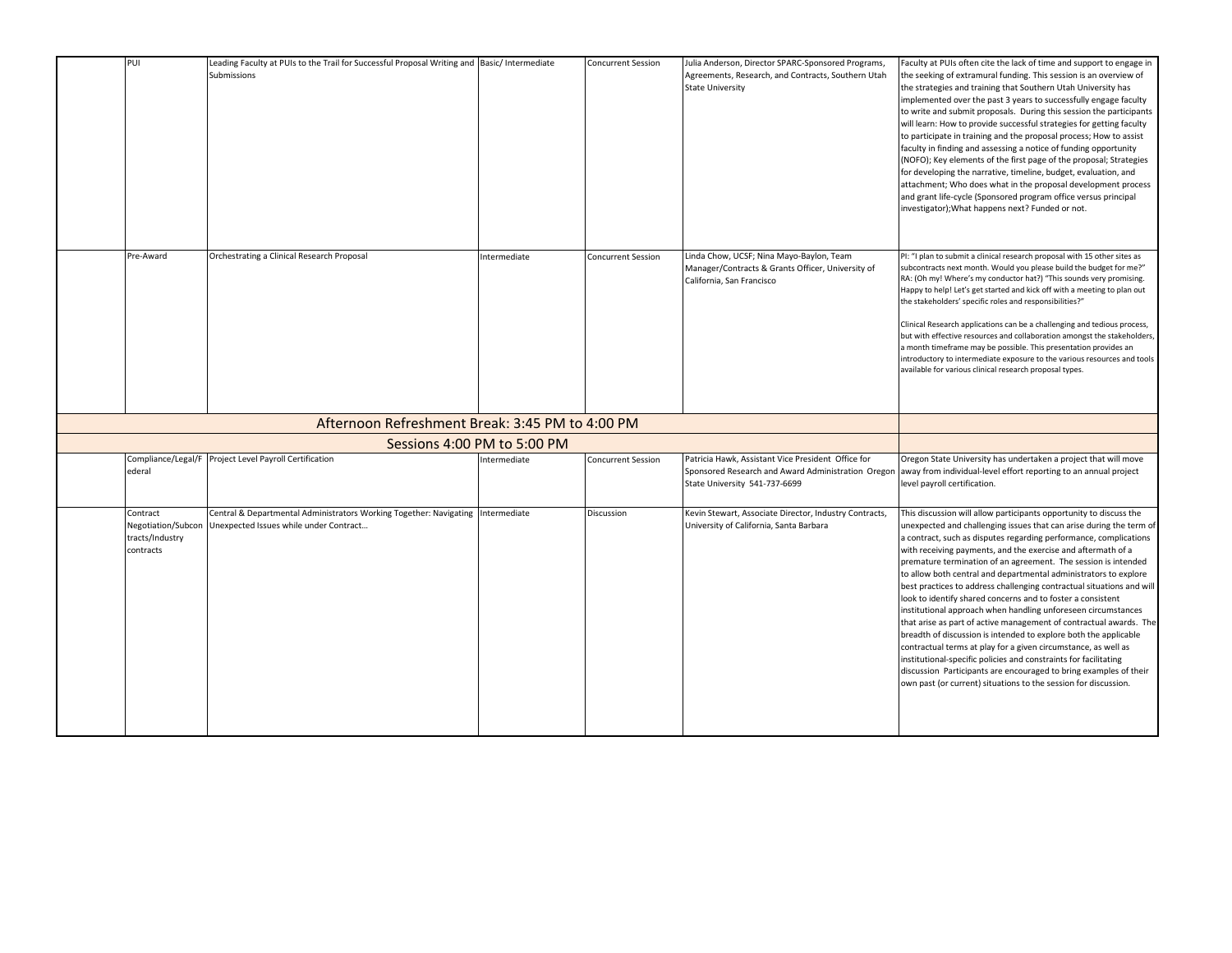| PUI                                                            | Leading Faculty at PUIs to the Trail for Successful Proposal Writing and Basic/Intermediate<br>Submissions                |                             | <b>Concurrent Session</b> | Julia Anderson, Director SPARC-Sponsored Programs,<br>Agreements, Research, and Contracts, Southern Utah<br><b>State University</b>       | Faculty at PUIs often cite the lack of time and support to engage in<br>the seeking of extramural funding. This session is an overview of<br>the strategies and training that Southern Utah University has<br>implemented over the past 3 years to successfully engage faculty<br>to write and submit proposals. During this session the participants<br>will learn: How to provide successful strategies for getting faculty<br>to participate in training and the proposal process; How to assist<br>faculty in finding and assessing a notice of funding opportunity<br>(NOFO); Key elements of the first page of the proposal; Strategies<br>for developing the narrative, timeline, budget, evaluation, and<br>attachment; Who does what in the proposal development process<br>and grant life-cycle (Sponsored program office versus principal<br>investigator); What happens next? Funded or not.                                                                                                                                              |
|----------------------------------------------------------------|---------------------------------------------------------------------------------------------------------------------------|-----------------------------|---------------------------|-------------------------------------------------------------------------------------------------------------------------------------------|-------------------------------------------------------------------------------------------------------------------------------------------------------------------------------------------------------------------------------------------------------------------------------------------------------------------------------------------------------------------------------------------------------------------------------------------------------------------------------------------------------------------------------------------------------------------------------------------------------------------------------------------------------------------------------------------------------------------------------------------------------------------------------------------------------------------------------------------------------------------------------------------------------------------------------------------------------------------------------------------------------------------------------------------------------|
| Pre-Award                                                      | Orchestrating a Clinical Research Proposal                                                                                | Intermediate                | <b>Concurrent Session</b> | Linda Chow, UCSF; Nina Mayo-Baylon, Team<br>Manager/Contracts & Grants Officer, University of<br>California, San Francisco                | PI: "I plan to submit a clinical research proposal with 15 other sites as<br>subcontracts next month. Would you please build the budget for me?"<br>RA: (Oh my! Where's my conductor hat?) "This sounds very promising.<br>Happy to help! Let's get started and kick off with a meeting to plan out<br>the stakeholders' specific roles and responsibilities?"<br>Clinical Research applications can be a challenging and tedious process,<br>but with effective resources and collaboration amongst the stakeholders,<br>a month timeframe may be possible. This presentation provides an<br>introductory to intermediate exposure to the various resources and tools<br>available for various clinical research proposal types.                                                                                                                                                                                                                                                                                                                     |
|                                                                |                                                                                                                           |                             |                           |                                                                                                                                           |                                                                                                                                                                                                                                                                                                                                                                                                                                                                                                                                                                                                                                                                                                                                                                                                                                                                                                                                                                                                                                                       |
|                                                                |                                                                                                                           | Sessions 4:00 PM to 5:00 PM |                           |                                                                                                                                           |                                                                                                                                                                                                                                                                                                                                                                                                                                                                                                                                                                                                                                                                                                                                                                                                                                                                                                                                                                                                                                                       |
| Compliance/Legal/F<br>ederal                                   | Project Level Payroll Certification                                                                                       | Intermediate                | <b>Concurrent Session</b> | Patricia Hawk, Assistant Vice President Office for<br>Sponsored Research and Award Administration Oregon<br>State University 541-737-6699 | Oregon State University has undertaken a project that will move<br>away from individual-level effort reporting to an annual project<br>level payroll certification.                                                                                                                                                                                                                                                                                                                                                                                                                                                                                                                                                                                                                                                                                                                                                                                                                                                                                   |
| Contract<br>Negotiation/Subcon<br>tracts/Industry<br>contracts | Central & Departmental Administrators Working Together: Navigating Intermediate<br>Unexpected Issues while under Contract |                             | Discussion                | Kevin Stewart, Associate Director, Industry Contracts,<br>University of California, Santa Barbara                                         | This discussion will allow participants opportunity to discuss the<br>unexpected and challenging issues that can arise during the term of<br>a contract, such as disputes regarding performance, complications<br>with receiving payments, and the exercise and aftermath of a<br>premature termination of an agreement. The session is intended<br>to allow both central and departmental administrators to explore<br>best practices to address challenging contractual situations and will<br>look to identify shared concerns and to foster a consistent<br>institutional approach when handling unforeseen circumstances<br>that arise as part of active management of contractual awards. The<br>breadth of discussion is intended to explore both the applicable<br>contractual terms at play for a given circumstance, as well as<br>institutional-specific policies and constraints for facilitating<br>discussion Participants are encouraged to bring examples of their<br>own past (or current) situations to the session for discussion. |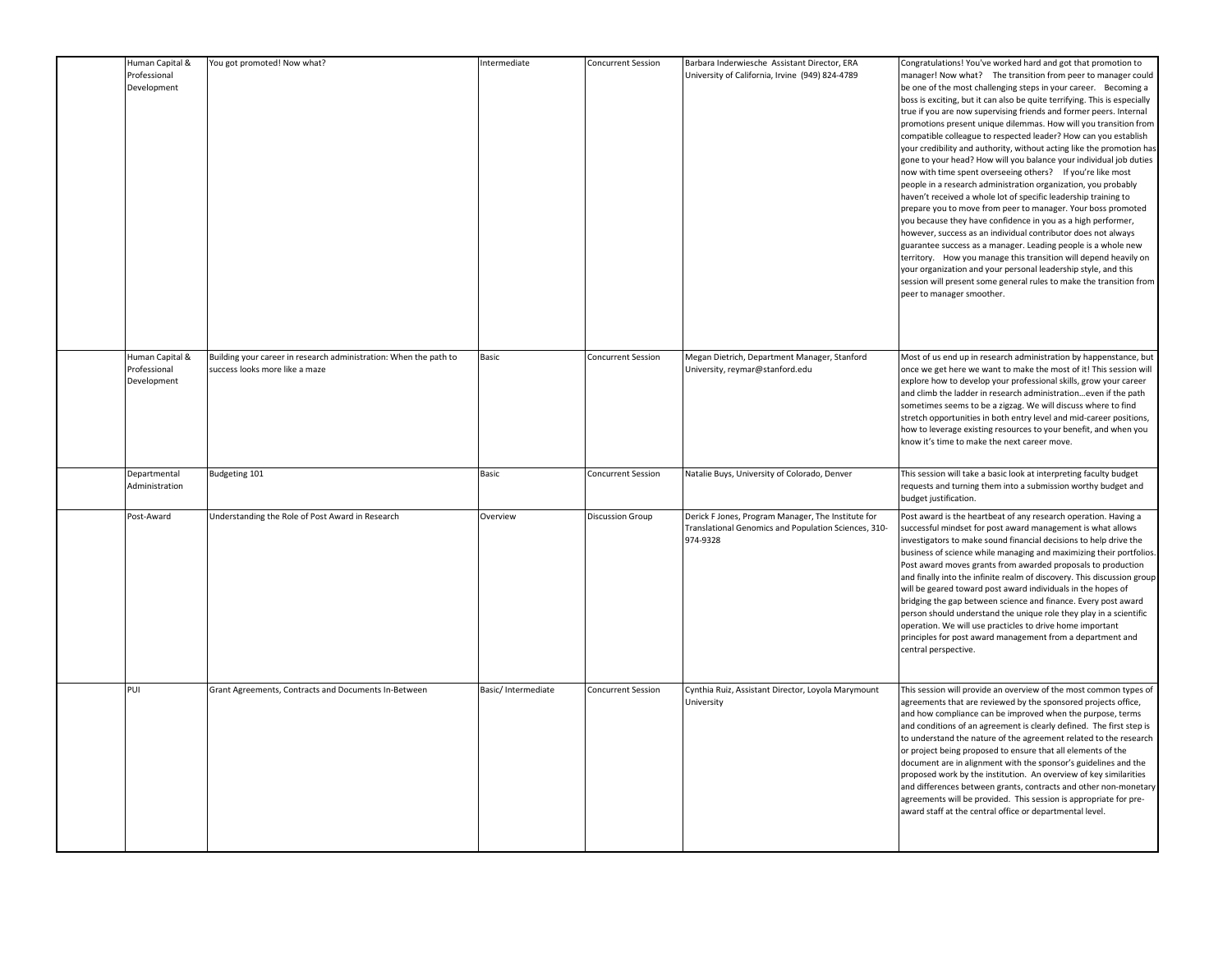| Human Capital &<br>Professional<br>Development | You got promoted! Now what?                                                                         | Intermediate       | Concurrent Session        | Barbara Inderwiesche Assistant Director, ERA<br>University of California, Irvine (949) 824-4789                        | Congratulations! You've worked hard and got that promotion to<br>manager! Now what? The transition from peer to manager could<br>be one of the most challenging steps in your career. Becoming a<br>boss is exciting, but it can also be quite terrifying. This is especially<br>true if you are now supervising friends and former peers. Internal<br>promotions present unique dilemmas. How will you transition from<br>compatible colleague to respected leader? How can you establish<br>your credibility and authority, without acting like the promotion has<br>gone to your head? How will you balance your individual job duties<br>now with time spent overseeing others? If you're like most<br>people in a research administration organization, you probably<br>haven't received a whole lot of specific leadership training to<br>prepare you to move from peer to manager. Your boss promoted<br>you because they have confidence in you as a high performer,<br>however, success as an individual contributor does not always<br>guarantee success as a manager. Leading people is a whole new<br>territory. How you manage this transition will depend heavily on<br>your organization and your personal leadership style, and this<br>session will present some general rules to make the transition from<br>peer to manager smoother. |
|------------------------------------------------|-----------------------------------------------------------------------------------------------------|--------------------|---------------------------|------------------------------------------------------------------------------------------------------------------------|----------------------------------------------------------------------------------------------------------------------------------------------------------------------------------------------------------------------------------------------------------------------------------------------------------------------------------------------------------------------------------------------------------------------------------------------------------------------------------------------------------------------------------------------------------------------------------------------------------------------------------------------------------------------------------------------------------------------------------------------------------------------------------------------------------------------------------------------------------------------------------------------------------------------------------------------------------------------------------------------------------------------------------------------------------------------------------------------------------------------------------------------------------------------------------------------------------------------------------------------------------------------------------------------------------------------------------------------------------|
| Human Capital &<br>Professional<br>Development | Building your career in research administration: When the path to<br>success looks more like a maze | Basic              | Concurrent Session        | Megan Dietrich, Department Manager, Stanford<br>University, reymar@stanford.edu                                        | Most of us end up in research administration by happenstance, but<br>once we get here we want to make the most of it! This session will<br>explore how to develop your professional skills, grow your career<br>and climb the ladder in research administrationeven if the path<br>sometimes seems to be a zigzag. We will discuss where to find<br>stretch opportunities in both entry level and mid-career positions,<br>how to leverage existing resources to your benefit, and when you<br>know it's time to make the next career move.                                                                                                                                                                                                                                                                                                                                                                                                                                                                                                                                                                                                                                                                                                                                                                                                              |
| Departmental<br>Administration                 | Budgeting 101                                                                                       | Basic              | <b>Concurrent Session</b> | Natalie Buys, University of Colorado, Denver                                                                           | This session will take a basic look at interpreting faculty budget<br>requests and turning them into a submission worthy budget and<br>budget justification.                                                                                                                                                                                                                                                                                                                                                                                                                                                                                                                                                                                                                                                                                                                                                                                                                                                                                                                                                                                                                                                                                                                                                                                             |
| Post-Award                                     | Understanding the Role of Post Award in Research                                                    | Overview           | <b>Discussion Group</b>   | Derick F Jones, Program Manager, The Institute for<br>Translational Genomics and Population Sciences, 310-<br>974-9328 | Post award is the heartbeat of any research operation. Having a<br>successful mindset for post award management is what allows<br>investigators to make sound financial decisions to help drive the<br>business of science while managing and maximizing their portfolios.<br>Post award moves grants from awarded proposals to production<br>and finally into the infinite realm of discovery. This discussion group<br>will be geared toward post award individuals in the hopes of<br>bridging the gap between science and finance. Every post award<br>person should understand the unique role they play in a scientific<br>operation. We will use practicles to drive home important<br>principles for post award management from a department and<br>central perspective.                                                                                                                                                                                                                                                                                                                                                                                                                                                                                                                                                                         |
| PUI                                            | Grant Agreements, Contracts and Documents In-Between                                                | Basic/Intermediate | Concurrent Session        | Cynthia Ruiz, Assistant Director, Loyola Marymount<br>University                                                       | This session will provide an overview of the most common types of<br>agreements that are reviewed by the sponsored projects office,<br>and how compliance can be improved when the purpose, terms<br>and conditions of an agreement is clearly defined. The first step is<br>to understand the nature of the agreement related to the research<br>or project being proposed to ensure that all elements of the<br>document are in alignment with the sponsor's guidelines and the<br>proposed work by the institution. An overview of key similarities<br>and differences between grants, contracts and other non-monetary<br>agreements will be provided. This session is appropriate for pre-<br>award staff at the central office or departmental level.                                                                                                                                                                                                                                                                                                                                                                                                                                                                                                                                                                                              |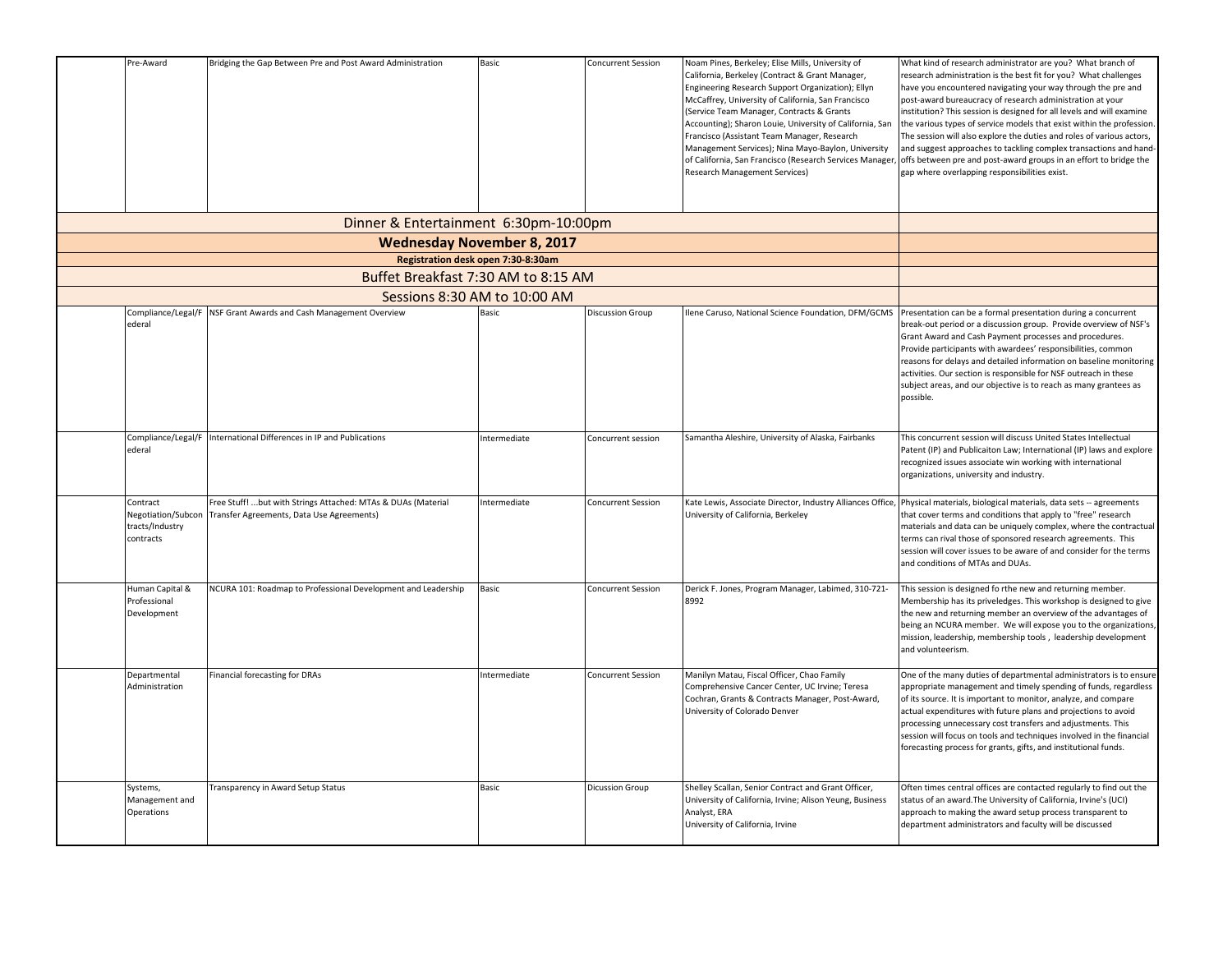| Pre-Award                                                      | Bridging the Gap Between Pre and Post Award Administration                                                | Basic        | <b>Concurrent Session</b> | Noam Pines, Berkeley; Elise Mills, University of<br>California, Berkeley (Contract & Grant Manager,<br>Engineering Research Support Organization); Ellyn<br>McCaffrey, University of California, San Francisco<br>(Service Team Manager, Contracts & Grants<br>Accounting); Sharon Louie, University of California, San<br>Francisco (Assistant Team Manager, Research<br>Management Services); Nina Mayo-Baylon, University<br>of California, San Francisco (Research Services Manager,<br><b>Research Management Services)</b> | What kind of research administrator are you? What branch of<br>research administration is the best fit for you? What challenges<br>have you encountered navigating your way through the pre and<br>post-award bureaucracy of research administration at your<br>institution? This session is designed for all levels and will examine<br>the various types of service models that exist within the profession<br>The session will also explore the duties and roles of various actors,<br>and suggest approaches to tackling complex transactions and hand-<br>offs between pre and post-award groups in an effort to bridge the<br>gap where overlapping responsibilities exist. |
|----------------------------------------------------------------|-----------------------------------------------------------------------------------------------------------|--------------|---------------------------|----------------------------------------------------------------------------------------------------------------------------------------------------------------------------------------------------------------------------------------------------------------------------------------------------------------------------------------------------------------------------------------------------------------------------------------------------------------------------------------------------------------------------------|-----------------------------------------------------------------------------------------------------------------------------------------------------------------------------------------------------------------------------------------------------------------------------------------------------------------------------------------------------------------------------------------------------------------------------------------------------------------------------------------------------------------------------------------------------------------------------------------------------------------------------------------------------------------------------------|
|                                                                | Dinner & Entertainment 6:30pm-10:00pm                                                                     |              |                           |                                                                                                                                                                                                                                                                                                                                                                                                                                                                                                                                  |                                                                                                                                                                                                                                                                                                                                                                                                                                                                                                                                                                                                                                                                                   |
|                                                                |                                                                                                           |              |                           |                                                                                                                                                                                                                                                                                                                                                                                                                                                                                                                                  |                                                                                                                                                                                                                                                                                                                                                                                                                                                                                                                                                                                                                                                                                   |
|                                                                |                                                                                                           |              |                           |                                                                                                                                                                                                                                                                                                                                                                                                                                                                                                                                  |                                                                                                                                                                                                                                                                                                                                                                                                                                                                                                                                                                                                                                                                                   |
|                                                                |                                                                                                           |              |                           |                                                                                                                                                                                                                                                                                                                                                                                                                                                                                                                                  |                                                                                                                                                                                                                                                                                                                                                                                                                                                                                                                                                                                                                                                                                   |
| Compliance/Legal/F                                             | Sessions 8:30 AM to 10:00 AM<br>NSF Grant Awards and Cash Management Overview                             | Basic        | <b>Discussion Group</b>   | Ilene Caruso, National Science Foundation, DFM/GCMS                                                                                                                                                                                                                                                                                                                                                                                                                                                                              | Presentation can be a formal presentation during a concurrent                                                                                                                                                                                                                                                                                                                                                                                                                                                                                                                                                                                                                     |
| ederal                                                         |                                                                                                           |              |                           |                                                                                                                                                                                                                                                                                                                                                                                                                                                                                                                                  | break-out period or a discussion group. Provide overview of NSF's<br>Grant Award and Cash Payment processes and procedures.<br>Provide participants with awardees' responsibilities, common<br>reasons for delays and detailed information on baseline monitoring<br>activities. Our section is responsible for NSF outreach in these<br>subject areas, and our objective is to reach as many grantees as<br>possible.                                                                                                                                                                                                                                                            |
| Compliance/Legal/F<br>ederal                                   | International Differences in IP and Publications                                                          | Intermediate | Concurrent session        | Samantha Aleshire, University of Alaska, Fairbanks                                                                                                                                                                                                                                                                                                                                                                                                                                                                               | This concurrent session will discuss United States Intellectual<br>Patent (IP) and Publicaiton Law; International (IP) laws and explore<br>ecognized issues associate win working with international<br>organizations, university and industry.                                                                                                                                                                                                                                                                                                                                                                                                                                   |
| Contract<br>Negotiation/Subcon<br>tracts/Industry<br>contracts | Free Stuff! but with Strings Attached: MTAs & DUAs (Material<br>Transfer Agreements, Data Use Agreements) | Intermediate | <b>Concurrent Session</b> | Kate Lewis, Associate Director, Industry Alliances Office,<br>University of California, Berkeley                                                                                                                                                                                                                                                                                                                                                                                                                                 | Physical materials, biological materials, data sets -- agreements<br>that cover terms and conditions that apply to "free" research<br>materials and data can be uniquely complex, where the contractual<br>terms can rival those of sponsored research agreements. This<br>session will cover issues to be aware of and consider for the terms<br>and conditions of MTAs and DUAs.                                                                                                                                                                                                                                                                                                |
| Human Capital &<br>Professional<br>Development                 | NCURA 101: Roadmap to Professional Development and Leadership                                             | Basic        | <b>Concurrent Session</b> | Derick F. Jones, Program Manager, Labimed, 310-721-<br>8992                                                                                                                                                                                                                                                                                                                                                                                                                                                                      | This session is designed fo rthe new and returning member.<br>Membership has its priveledges. This workshop is designed to give<br>the new and returning member an overview of the advantages of<br>being an NCURA member. We will expose you to the organizations,<br>mission, leadership, membership tools, leadership development<br>and volunteerism.                                                                                                                                                                                                                                                                                                                         |
| Departmental<br>Administration                                 | Financial forecasting for DRAs                                                                            | Intermediate | <b>Concurrent Session</b> | Manilyn Matau, Fiscal Officer, Chao Family<br>Comprehensive Cancer Center, UC Irvine; Teresa<br>Cochran, Grants & Contracts Manager, Post-Award,<br>University of Colorado Denver                                                                                                                                                                                                                                                                                                                                                | One of the many duties of departmental administrators is to ensure<br>appropriate management and timely spending of funds, regardless<br>of its source. It is important to monitor, analyze, and compare<br>actual expenditures with future plans and projections to avoid<br>processing unnecessary cost transfers and adjustments. This<br>session will focus on tools and techniques involved in the financial<br>forecasting process for grants, gifts, and institutional funds.                                                                                                                                                                                              |
| Systems,<br>Management and<br>Operations                       | Transparency in Award Setup Status                                                                        | Basic        | <b>Dicussion Group</b>    | Shelley Scallan, Senior Contract and Grant Officer,<br>University of California, Irvine; Alison Yeung, Business<br>Analyst, ERA<br>University of California, Irvine                                                                                                                                                                                                                                                                                                                                                              | Often times central offices are contacted regularly to find out the<br>status of an award. The University of California, Irvine's (UCI)<br>approach to making the award setup process transparent to<br>department administrators and faculty will be discussed                                                                                                                                                                                                                                                                                                                                                                                                                   |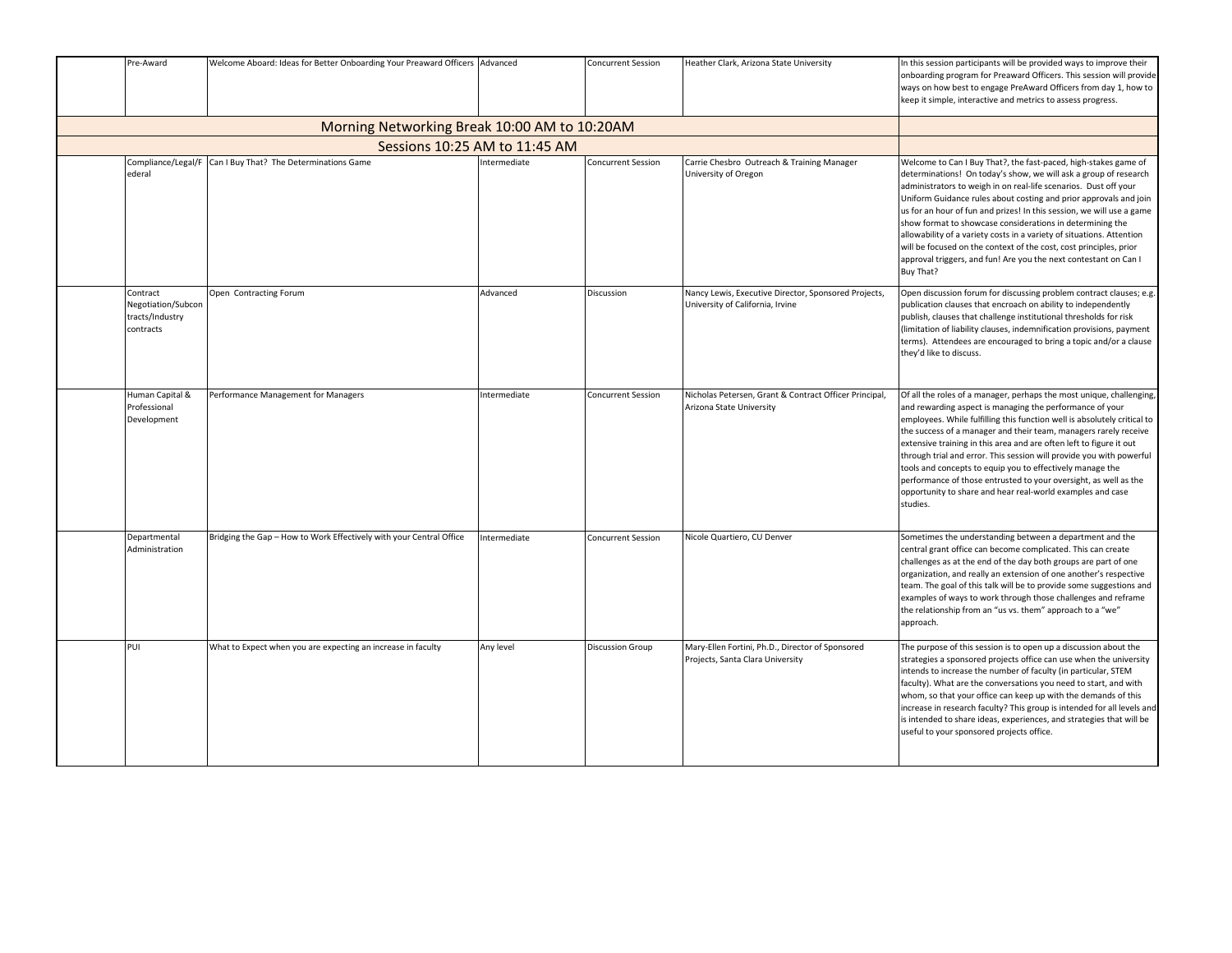| Pre-Award                                                      | Welcome Aboard: Ideas for Better Onboarding Your Preaward Officers Advanced |              | <b>Concurrent Session</b> | Heather Clark, Arizona State University                                                  | In this session participants will be provided ways to improve their<br>onboarding program for Preaward Officers. This session will provide<br>ways on how best to engage PreAward Officers from day 1, how to<br>keep it simple, interactive and metrics to assess progress.                                                                                                                                                                                                                                                                                                                                                                       |
|----------------------------------------------------------------|-----------------------------------------------------------------------------|--------------|---------------------------|------------------------------------------------------------------------------------------|----------------------------------------------------------------------------------------------------------------------------------------------------------------------------------------------------------------------------------------------------------------------------------------------------------------------------------------------------------------------------------------------------------------------------------------------------------------------------------------------------------------------------------------------------------------------------------------------------------------------------------------------------|
|                                                                |                                                                             |              |                           |                                                                                          |                                                                                                                                                                                                                                                                                                                                                                                                                                                                                                                                                                                                                                                    |
|                                                                |                                                                             |              |                           |                                                                                          |                                                                                                                                                                                                                                                                                                                                                                                                                                                                                                                                                                                                                                                    |
| Compliance/Legal/I<br>ederal                                   | Can I Buy That? The Determinations Game                                     | Intermediate | <b>Concurrent Session</b> | Carrie Chesbro Outreach & Training Manager<br>University of Oregon                       | Welcome to Can I Buy That?, the fast-paced, high-stakes game of<br>determinations! On today's show, we will ask a group of research<br>administrators to weigh in on real-life scenarios. Dust off your<br>Uniform Guidance rules about costing and prior approvals and join<br>us for an hour of fun and prizes! In this session, we will use a game<br>show format to showcase considerations in determining the<br>allowability of a variety costs in a variety of situations. Attention<br>will be focused on the context of the cost, cost principles, prior<br>approval triggers, and fun! Are you the next contestant on Can I<br>Buy That? |
| Contract<br>Negotiation/Subcon<br>tracts/Industry<br>contracts | Open Contracting Forum                                                      | Advanced     | Discussion                | Nancy Lewis, Executive Director, Sponsored Projects,<br>University of California, Irvine | Open discussion forum for discussing problem contract clauses; e.g.<br>publication clauses that encroach on ability to independently<br>publish, clauses that challenge institutional thresholds for risk<br>(limitation of liability clauses, indemnification provisions, payment<br>terms). Attendees are encouraged to bring a topic and/or a clause<br>they'd like to discuss.                                                                                                                                                                                                                                                                 |
| Human Capital &<br>Professional<br>Development                 | Performance Management for Managers                                         | Intermediate | <b>Concurrent Session</b> | Nicholas Petersen, Grant & Contract Officer Principal,<br>Arizona State University       | Of all the roles of a manager, perhaps the most unique, challenging,<br>and rewarding aspect is managing the performance of your<br>employees. While fulfilling this function well is absolutely critical to<br>the success of a manager and their team, managers rarely receive<br>extensive training in this area and are often left to figure it out<br>through trial and error. This session will provide you with powerful<br>tools and concepts to equip you to effectively manage the<br>performance of those entrusted to your oversight, as well as the<br>opportunity to share and hear real-world examples and case<br>studies.         |
| Departmental<br>Administration                                 | Bridging the Gap - How to Work Effectively with your Central Office         | Intermediate | <b>Concurrent Session</b> | Nicole Quartiero, CU Denver                                                              | Sometimes the understanding between a department and the<br>central grant office can become complicated. This can create<br>challenges as at the end of the day both groups are part of one<br>organization, and really an extension of one another's respective<br>team. The goal of this talk will be to provide some suggestions and<br>examples of ways to work through those challenges and reframe<br>the relationship from an "us vs. them" approach to a "we"<br>approach.                                                                                                                                                                 |
| PUI                                                            | What to Expect when you are expecting an increase in faculty                | Any level    | <b>Discussion Group</b>   | Mary-Ellen Fortini, Ph.D., Director of Sponsored<br>Projects, Santa Clara University     | The purpose of this session is to open up a discussion about the<br>strategies a sponsored projects office can use when the university<br>intends to increase the number of faculty (in particular, STEM<br>faculty). What are the conversations you need to start, and with<br>whom, so that your office can keep up with the demands of this<br>increase in research faculty? This group is intended for all levels and<br>is intended to share ideas, experiences, and strategies that will be<br>useful to your sponsored projects office.                                                                                                     |